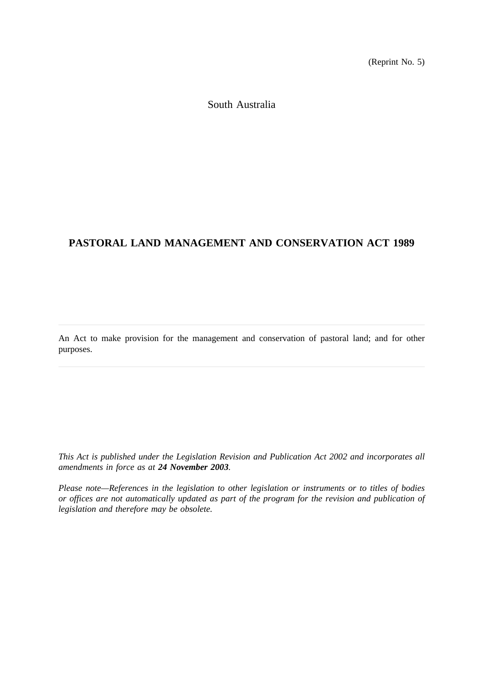(Reprint No. 5)

South Australia

# **PASTORAL LAND MANAGEMENT AND CONSERVATION ACT 1989**

An Act to make provision for the management and conservation of pastoral land; and for other purposes.

*This Act is published under the Legislation Revision and Publication Act 2002 and incorporates all amendments in force as at 24 November 2003.*

*Please note—References in the legislation to other legislation or instruments or to titles of bodies or offices are not automatically updated as part of the program for the revision and publication of legislation and therefore may be obsolete.*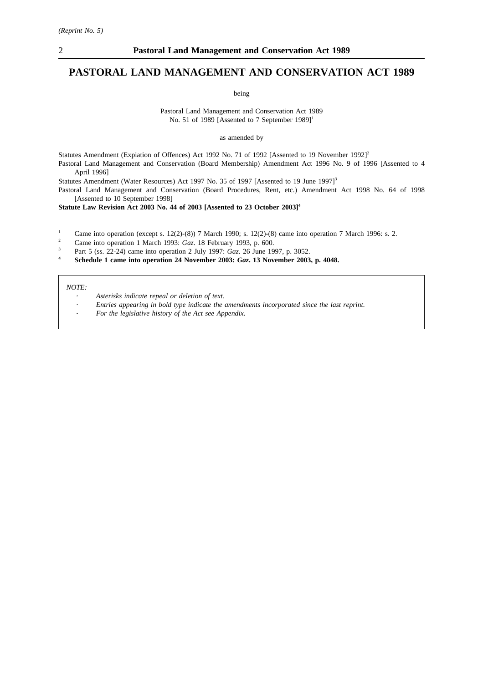## **PASTORAL LAND MANAGEMENT AND CONSERVATION ACT 1989**

being

Pastoral Land Management and Conservation Act 1989 No. 51 of 1989 [Assented to 7 September 1989]<sup>1</sup>

as amended by

Statutes Amendment (Expiation of Offences) Act 1992 No. 71 of 1992 [Assented to 19 November 1992]<sup>2</sup> Pastoral Land Management and Conservation (Board Membership) Amendment Act 1996 No. 9 of 1996 [Assented to 4 April 1996]

Statutes Amendment (Water Resources) Act 1997 No. 35 of 1997 [Assented to 19 June 1997]<sup>3</sup>

Pastoral Land Management and Conservation (Board Procedures, Rent, etc.) Amendment Act 1998 No. 64 of 1998 [Assented to 10 September 1998]

**Statute Law Revision Act 2003 No. 44 of 2003 [Assented to 23 October 2003]4**

<sup>1</sup> Came into operation (except s. 12(2)-(8)) 7 March 1990; s. 12(2)-(8) came into operation 7 March 1996: s. 2.

<sup>2</sup> Came into operation 1 March 1993: *Gaz*. 18 February 1993, p. 600.

- <sup>3</sup> Part 5 (ss. 22-24) came into operation 2 July 1997: *Gaz*. 26 June 1997, p. 3052.
- **<sup>4</sup> Schedule 1 came into operation 24 November 2003:** *Gaz***. 13 November 2003, p. 4048.**

*NOTE:*

- *Asterisks indicate repeal or deletion of text.*
- *Entries appearing in bold type indicate the amendments incorporated since the last reprint.*
- *For the legislative history of the Act see Appendix.*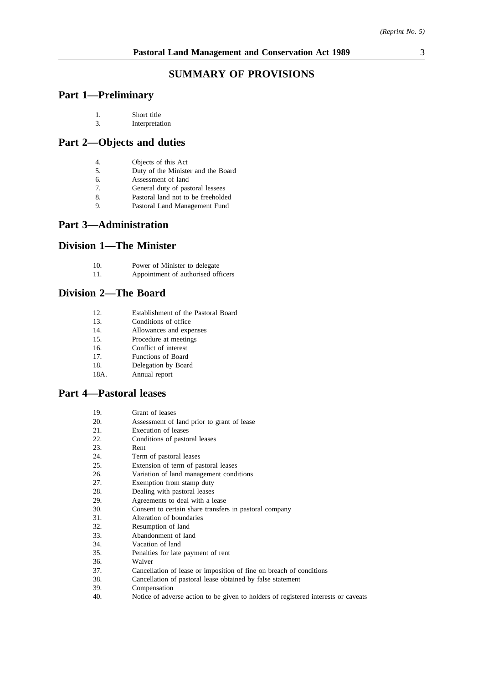## **SUMMARY OF PROVISIONS**

## **Part 1—Preliminary**

| 1. | Short title |
|----|-------------|
|    |             |

## 3. Interpretation

## **Part 2—Objects and duties**

- 4. Objects of this Act
- 5. Duty of the Minister and the Board
- 6. Assessment of land
- 7. General duty of pastoral lessees
- 8. Pastoral land not to be freeholded
- 9. Pastoral Land Management Fund

## **Part 3—Administration**

# **Division 1—The Minister**

| 10.<br>Power of Minister to delegate |
|--------------------------------------|
|--------------------------------------|

11. Appointment of authorised officers

## **Division 2—The Board**

- 12. Establishment of the Pastoral Board
- 13. Conditions of office
- 14. Allowances and expenses
- 15. Procedure at meetings
- 16. Conflict of interest
- 17. Functions of Board
- 18. Delegation by Board
- 18A. Annual report

## **Part 4—Pastoral leases**

- 20. Assessment of land prior to grant of lease
- 21. Execution of leases
- 22. Conditions of pastoral leases
- 23. Rent
- 24. Term of pastoral leases<br>25. Extension of term of pa
- Extension of term of pastoral leases
- 26. Variation of land management conditions<br>27. Exemption from stamp duty
- Exemption from stamp duty
- 28. Dealing with pastoral leases
- 29. Agreements to deal with a lease
- 30. Consent to certain share transfers in pastoral company
- 31. Alteration of boundaries
- 32. Resumption of land
- 33. Abandonment of land
- 34. Vacation of land
- 35. Penalties for late payment of rent
- 36. Waiver
- 37. Cancellation of lease or imposition of fine on breach of conditions
- 38. Cancellation of pastoral lease obtained by false statement
- 39. Compensation
- 40. Notice of adverse action to be given to holders of registered interests or caveats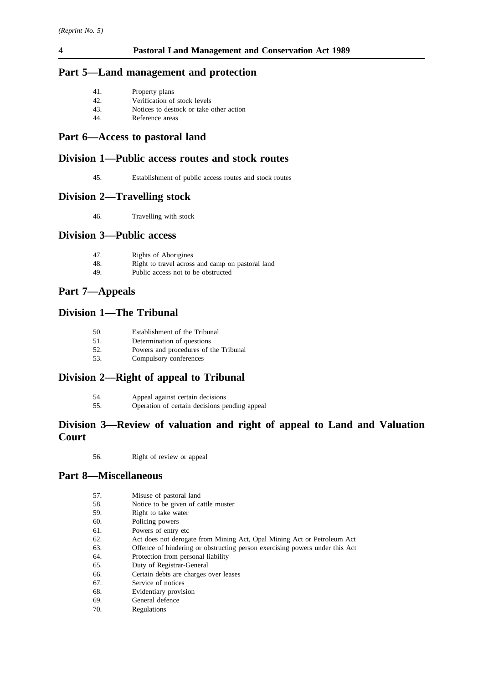## **Part 5—Land management and protection**

| 41. | Property plans |  |
|-----|----------------|--|
|-----|----------------|--|

- 42. Verification of stock levels
- 43. Notices to destock or take other action
- 44. Reference areas

## **Part 6—Access to pastoral land**

## **Division 1—Public access routes and stock routes**

45. Establishment of public access routes and stock routes

## **Division 2—Travelling stock**

46. Travelling with stock

## **Division 3—Public access**

| 47. | Rights of Aborigines                             |
|-----|--------------------------------------------------|
| 48. | Right to travel across and camp on pastoral land |
| 49. | Public access not to be obstructed               |

# **Part 7—Appeals**

## **Division 1—The Tribunal**

- 50. Establishment of the Tribunal
- 51. Determination of questions
- 52. Powers and procedures of the Tribunal
- 53. Compulsory conferences

## **Division 2—Right of appeal to Tribunal**

| 54. | Appeal against certain decisions              |
|-----|-----------------------------------------------|
| 55. | Operation of certain decisions pending appeal |

## **Division 3—Review of valuation and right of appeal to Land and Valuation Court**

56. Right of review or appeal

## **Part 8—Miscellaneous**

| 57. | Misuse of pastoral land |  |
|-----|-------------------------|--|
|-----|-------------------------|--|

- 58. Notice to be given of cattle muster
- 59. Right to take water
- 60. Policing powers
- 61. Powers of entry etc
- 62. Act does not derogate from Mining Act, Opal Mining Act or Petroleum Act
- 63. Offence of hindering or obstructing person exercising powers under this Act
- 64. Protection from personal liability
- 65. Duty of Registrar-General
- 66. Certain debts are charges over leases
- 67. Service of notices
- 68. Evidentiary provision
- 69. General defence
- 70. Regulations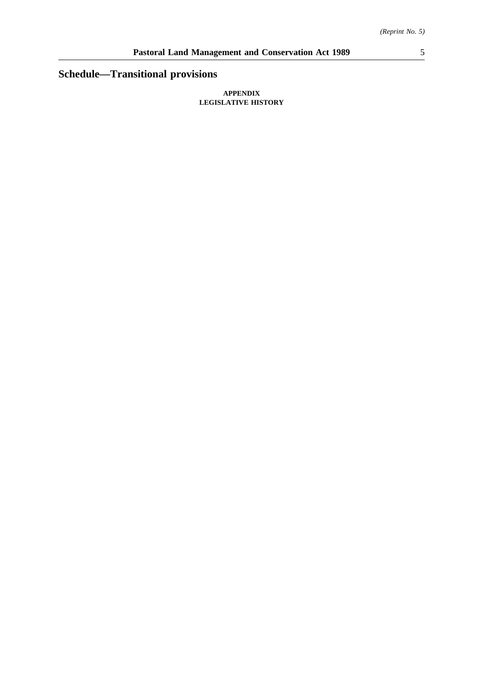# **Schedule—Transitional provisions**

#### **APPENDIX LEGISLATIVE HISTORY**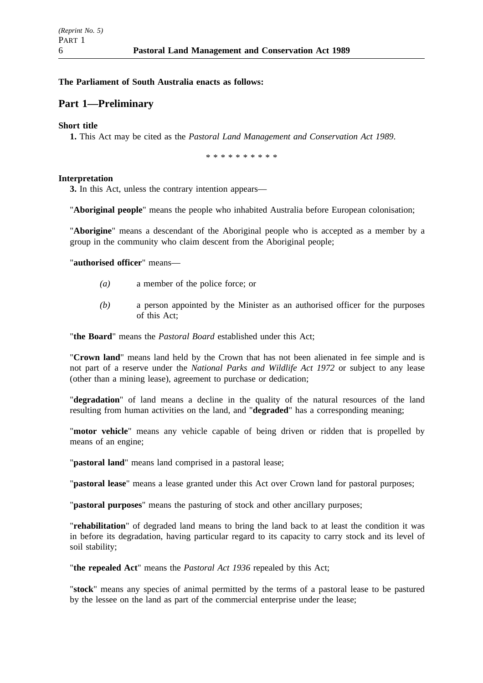## **The Parliament of South Australia enacts as follows:**

## **Part 1—Preliminary**

### **Short title**

**1.** This Act may be cited as the *Pastoral Land Management and Conservation Act 1989*.

\*\*\*\*\*\*\*\*\*\*

### **Interpretation**

**3.** In this Act, unless the contrary intention appears—

"**Aboriginal people**" means the people who inhabited Australia before European colonisation;

"**Aborigine**" means a descendant of the Aboriginal people who is accepted as a member by a group in the community who claim descent from the Aboriginal people;

"**authorised officer**" means—

- *(a)* a member of the police force; or
- *(b)* a person appointed by the Minister as an authorised officer for the purposes of this Act;

"**the Board**" means the *Pastoral Board* established under this Act;

"**Crown land**" means land held by the Crown that has not been alienated in fee simple and is not part of a reserve under the *National Parks and Wildlife Act 1972* or subject to any lease (other than a mining lease), agreement to purchase or dedication;

"**degradation**" of land means a decline in the quality of the natural resources of the land resulting from human activities on the land, and "**degraded**" has a corresponding meaning;

"**motor vehicle**" means any vehicle capable of being driven or ridden that is propelled by means of an engine;

"**pastoral land**" means land comprised in a pastoral lease;

"**pastoral lease**" means a lease granted under this Act over Crown land for pastoral purposes;

"**pastoral purposes**" means the pasturing of stock and other ancillary purposes;

"**rehabilitation**" of degraded land means to bring the land back to at least the condition it was in before its degradation, having particular regard to its capacity to carry stock and its level of soil stability;

"**the repealed Act**" means the *Pastoral Act 1936* repealed by this Act;

"**stock**" means any species of animal permitted by the terms of a pastoral lease to be pastured by the lessee on the land as part of the commercial enterprise under the lease;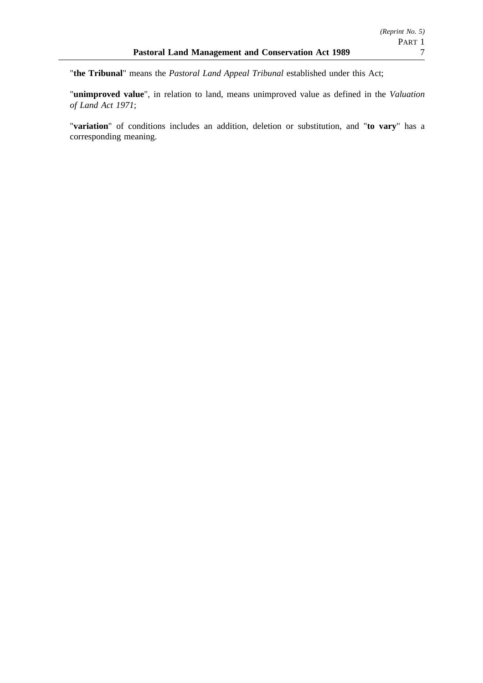"**the Tribunal**" means the *Pastoral Land Appeal Tribunal* established under this Act;

"**unimproved value**", in relation to land, means unimproved value as defined in the *Valuation of Land Act 1971*;

"**variation**" of conditions includes an addition, deletion or substitution, and "**to vary**" has a corresponding meaning.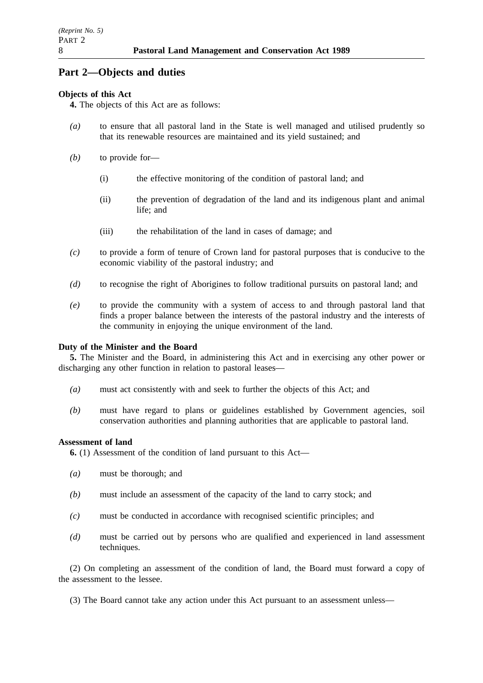# **Part 2—Objects and duties**

## **Objects of this Act**

**4.** The objects of this Act are as follows:

- *(a)* to ensure that all pastoral land in the State is well managed and utilised prudently so that its renewable resources are maintained and its yield sustained; and
- *(b)* to provide for—
	- (i) the effective monitoring of the condition of pastoral land; and
	- (ii) the prevention of degradation of the land and its indigenous plant and animal life; and
	- (iii) the rehabilitation of the land in cases of damage; and
- *(c)* to provide a form of tenure of Crown land for pastoral purposes that is conducive to the economic viability of the pastoral industry; and
- *(d)* to recognise the right of Aborigines to follow traditional pursuits on pastoral land; and
- *(e)* to provide the community with a system of access to and through pastoral land that finds a proper balance between the interests of the pastoral industry and the interests of the community in enjoying the unique environment of the land.

## **Duty of the Minister and the Board**

**5.** The Minister and the Board, in administering this Act and in exercising any other power or discharging any other function in relation to pastoral leases—

- *(a)* must act consistently with and seek to further the objects of this Act; and
- *(b)* must have regard to plans or guidelines established by Government agencies, soil conservation authorities and planning authorities that are applicable to pastoral land.

### **Assessment of land**

**6.** (1) Assessment of the condition of land pursuant to this Act—

- *(a)* must be thorough; and
- *(b)* must include an assessment of the capacity of the land to carry stock; and
- *(c)* must be conducted in accordance with recognised scientific principles; and
- *(d)* must be carried out by persons who are qualified and experienced in land assessment techniques.

(2) On completing an assessment of the condition of land, the Board must forward a copy of the assessment to the lessee.

(3) The Board cannot take any action under this Act pursuant to an assessment unless—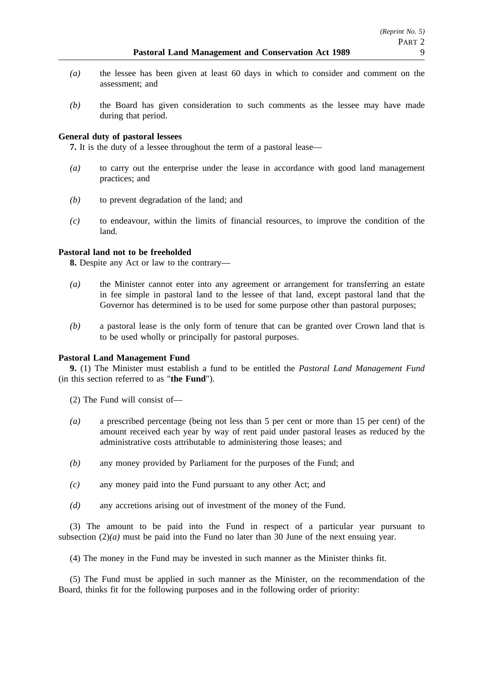- *(a)* the lessee has been given at least 60 days in which to consider and comment on the assessment; and
- *(b)* the Board has given consideration to such comments as the lessee may have made during that period.

### **General duty of pastoral lessees**

**7.** It is the duty of a lessee throughout the term of a pastoral lease—

- *(a)* to carry out the enterprise under the lease in accordance with good land management practices; and
- *(b)* to prevent degradation of the land; and
- *(c)* to endeavour, within the limits of financial resources, to improve the condition of the land.

### **Pastoral land not to be freeholded**

**8.** Despite any Act or law to the contrary—

- *(a)* the Minister cannot enter into any agreement or arrangement for transferring an estate in fee simple in pastoral land to the lessee of that land, except pastoral land that the Governor has determined is to be used for some purpose other than pastoral purposes;
- *(b)* a pastoral lease is the only form of tenure that can be granted over Crown land that is to be used wholly or principally for pastoral purposes.

### **Pastoral Land Management Fund**

**9.** (1) The Minister must establish a fund to be entitled the *Pastoral Land Management Fund* (in this section referred to as "**the Fund**").

(2) The Fund will consist of—

- *(a)* a prescribed percentage (being not less than 5 per cent or more than 15 per cent) of the amount received each year by way of rent paid under pastoral leases as reduced by the administrative costs attributable to administering those leases; and
- *(b)* any money provided by Parliament for the purposes of the Fund; and
- *(c)* any money paid into the Fund pursuant to any other Act; and
- *(d)* any accretions arising out of investment of the money of the Fund.

(3) The amount to be paid into the Fund in respect of a particular year pursuant to subsection  $(2)(a)$  must be paid into the Fund no later than 30 June of the next ensuing year.

(4) The money in the Fund may be invested in such manner as the Minister thinks fit.

(5) The Fund must be applied in such manner as the Minister, on the recommendation of the Board, thinks fit for the following purposes and in the following order of priority: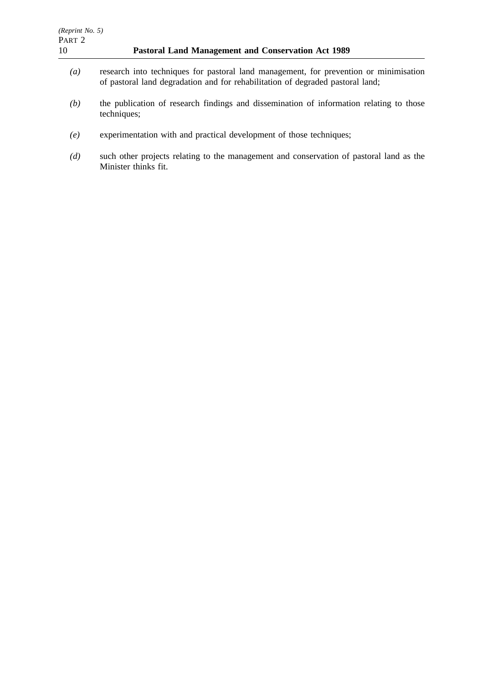- *(a)* research into techniques for pastoral land management, for prevention or minimisation of pastoral land degradation and for rehabilitation of degraded pastoral land;
- *(b)* the publication of research findings and dissemination of information relating to those techniques;
- *(e)* experimentation with and practical development of those techniques;
- *(d)* such other projects relating to the management and conservation of pastoral land as the Minister thinks fit.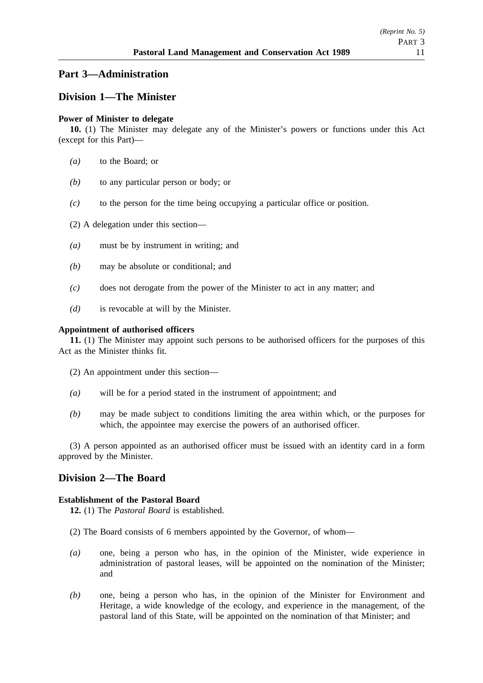## **Part 3—Administration**

## **Division 1—The Minister**

### **Power of Minister to delegate**

**10.** (1) The Minister may delegate any of the Minister's powers or functions under this Act (except for this Part)—

- *(a)* to the Board; or
- *(b)* to any particular person or body; or
- *(c)* to the person for the time being occupying a particular office or position.
- (2) A delegation under this section—
- *(a)* must be by instrument in writing; and
- *(b)* may be absolute or conditional; and
- *(c)* does not derogate from the power of the Minister to act in any matter; and
- *(d)* is revocable at will by the Minister.

### **Appointment of authorised officers**

**11.** (1) The Minister may appoint such persons to be authorised officers for the purposes of this Act as the Minister thinks fit.

- (2) An appointment under this section—
- *(a)* will be for a period stated in the instrument of appointment; and
- *(b)* may be made subject to conditions limiting the area within which, or the purposes for which, the appointee may exercise the powers of an authorised officer.

(3) A person appointed as an authorised officer must be issued with an identity card in a form approved by the Minister.

## **Division 2—The Board**

### **Establishment of the Pastoral Board**

**12.** (1) The *Pastoral Board* is established.

- (2) The Board consists of 6 members appointed by the Governor, of whom—
- *(a)* one, being a person who has, in the opinion of the Minister, wide experience in administration of pastoral leases, will be appointed on the nomination of the Minister; and
- *(b)* one, being a person who has, in the opinion of the Minister for Environment and Heritage, a wide knowledge of the ecology, and experience in the management, of the pastoral land of this State, will be appointed on the nomination of that Minister; and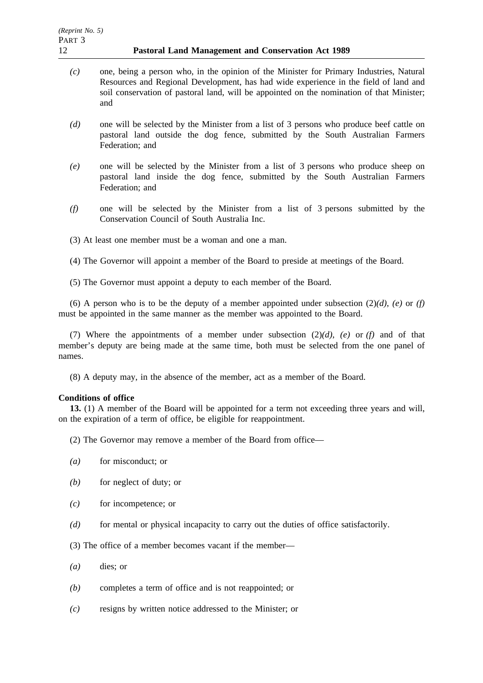- *(c)* one, being a person who, in the opinion of the Minister for Primary Industries, Natural Resources and Regional Development, has had wide experience in the field of land and soil conservation of pastoral land, will be appointed on the nomination of that Minister; and
- *(d)* one will be selected by the Minister from a list of 3 persons who produce beef cattle on pastoral land outside the dog fence, submitted by the South Australian Farmers Federation; and
- *(e)* one will be selected by the Minister from a list of 3 persons who produce sheep on pastoral land inside the dog fence, submitted by the South Australian Farmers Federation; and
- *(f)* one will be selected by the Minister from a list of 3 persons submitted by the Conservation Council of South Australia Inc.
- (3) At least one member must be a woman and one a man.
- (4) The Governor will appoint a member of the Board to preside at meetings of the Board.
- (5) The Governor must appoint a deputy to each member of the Board.

(6) A person who is to be the deputy of a member appointed under subsection  $(2)(d)$ ,  $(e)$  or  $(f)$ must be appointed in the same manner as the member was appointed to the Board.

(7) Where the appointments of a member under subsection (2)*(d)*, *(e)* or *(f)* and of that member's deputy are being made at the same time, both must be selected from the one panel of names.

(8) A deputy may, in the absence of the member, act as a member of the Board.

### **Conditions of office**

**13.** (1) A member of the Board will be appointed for a term not exceeding three years and will, on the expiration of a term of office, be eligible for reappointment.

- (2) The Governor may remove a member of the Board from office—
- *(a)* for misconduct; or
- *(b)* for neglect of duty; or
- *(c)* for incompetence; or
- *(d)* for mental or physical incapacity to carry out the duties of office satisfactorily.
- (3) The office of a member becomes vacant if the member—
- *(a)* dies; or
- *(b)* completes a term of office and is not reappointed; or
- *(c)* resigns by written notice addressed to the Minister; or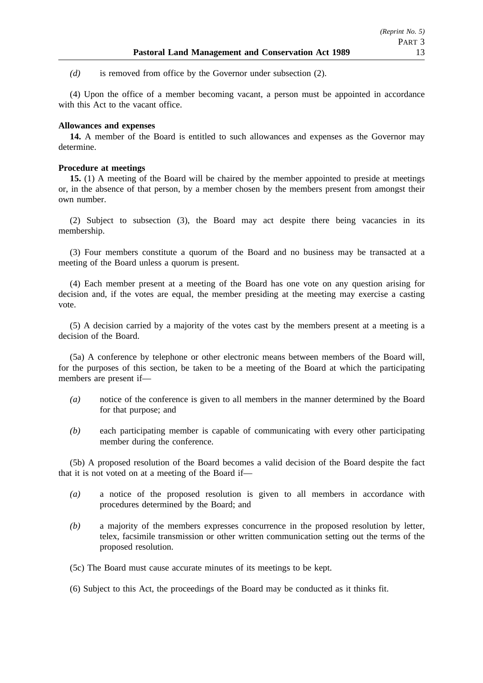*(d)* is removed from office by the Governor under subsection (2).

(4) Upon the office of a member becoming vacant, a person must be appointed in accordance with this Act to the vacant office.

### **Allowances and expenses**

**14.** A member of the Board is entitled to such allowances and expenses as the Governor may determine.

### **Procedure at meetings**

**15.** (1) A meeting of the Board will be chaired by the member appointed to preside at meetings or, in the absence of that person, by a member chosen by the members present from amongst their own number.

(2) Subject to subsection (3), the Board may act despite there being vacancies in its membership.

(3) Four members constitute a quorum of the Board and no business may be transacted at a meeting of the Board unless a quorum is present.

(4) Each member present at a meeting of the Board has one vote on any question arising for decision and, if the votes are equal, the member presiding at the meeting may exercise a casting vote.

(5) A decision carried by a majority of the votes cast by the members present at a meeting is a decision of the Board.

(5a) A conference by telephone or other electronic means between members of the Board will, for the purposes of this section, be taken to be a meeting of the Board at which the participating members are present if—

- *(a)* notice of the conference is given to all members in the manner determined by the Board for that purpose; and
- *(b)* each participating member is capable of communicating with every other participating member during the conference.

(5b) A proposed resolution of the Board becomes a valid decision of the Board despite the fact that it is not voted on at a meeting of the Board if—

- *(a)* a notice of the proposed resolution is given to all members in accordance with procedures determined by the Board; and
- *(b)* a majority of the members expresses concurrence in the proposed resolution by letter, telex, facsimile transmission or other written communication setting out the terms of the proposed resolution.
- (5c) The Board must cause accurate minutes of its meetings to be kept.

(6) Subject to this Act, the proceedings of the Board may be conducted as it thinks fit.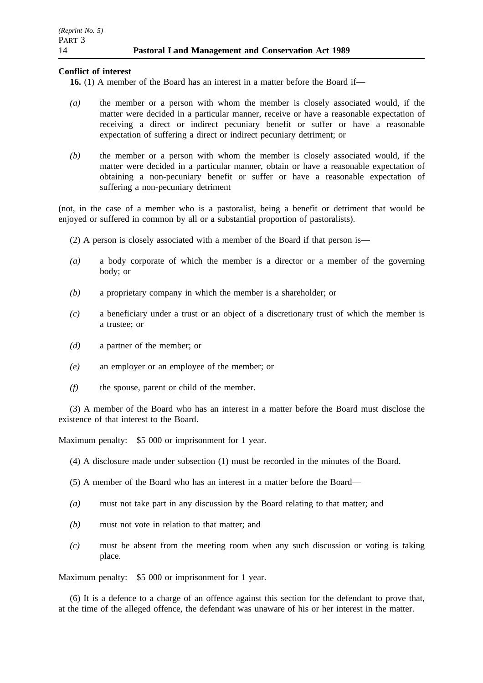### **Conflict of interest**

**16.** (1) A member of the Board has an interest in a matter before the Board if—

- *(a)* the member or a person with whom the member is closely associated would, if the matter were decided in a particular manner, receive or have a reasonable expectation of receiving a direct or indirect pecuniary benefit or suffer or have a reasonable expectation of suffering a direct or indirect pecuniary detriment; or
- *(b)* the member or a person with whom the member is closely associated would, if the matter were decided in a particular manner, obtain or have a reasonable expectation of obtaining a non-pecuniary benefit or suffer or have a reasonable expectation of suffering a non-pecuniary detriment

(not, in the case of a member who is a pastoralist, being a benefit or detriment that would be enjoyed or suffered in common by all or a substantial proportion of pastoralists).

- (2) A person is closely associated with a member of the Board if that person is—
- *(a)* a body corporate of which the member is a director or a member of the governing body; or
- *(b)* a proprietary company in which the member is a shareholder; or
- *(c)* a beneficiary under a trust or an object of a discretionary trust of which the member is a trustee; or
- *(d)* a partner of the member; or
- *(e)* an employer or an employee of the member; or
- *(f)* the spouse, parent or child of the member.

(3) A member of the Board who has an interest in a matter before the Board must disclose the existence of that interest to the Board.

Maximum penalty: \$5 000 or imprisonment for 1 year.

(4) A disclosure made under subsection (1) must be recorded in the minutes of the Board.

(5) A member of the Board who has an interest in a matter before the Board—

- *(a)* must not take part in any discussion by the Board relating to that matter; and
- *(b)* must not vote in relation to that matter; and
- *(c)* must be absent from the meeting room when any such discussion or voting is taking place.

Maximum penalty: \$5 000 or imprisonment for 1 year.

(6) It is a defence to a charge of an offence against this section for the defendant to prove that, at the time of the alleged offence, the defendant was unaware of his or her interest in the matter.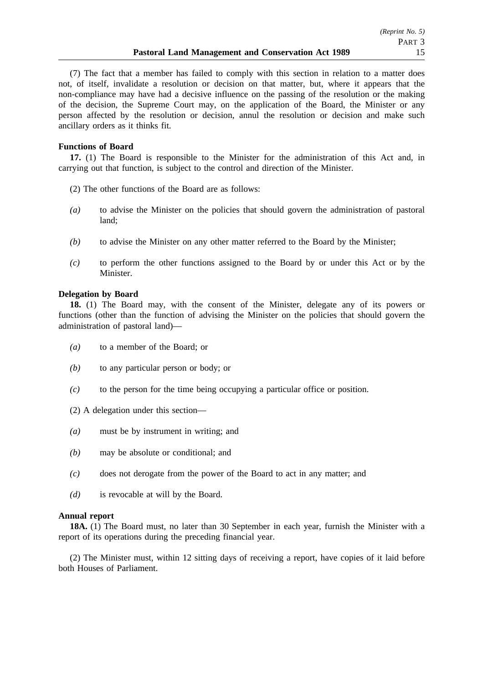(7) The fact that a member has failed to comply with this section in relation to a matter does not, of itself, invalidate a resolution or decision on that matter, but, where it appears that the non-compliance may have had a decisive influence on the passing of the resolution or the making of the decision, the Supreme Court may, on the application of the Board, the Minister or any person affected by the resolution or decision, annul the resolution or decision and make such ancillary orders as it thinks fit.

### **Functions of Board**

17. (1) The Board is responsible to the Minister for the administration of this Act and, in carrying out that function, is subject to the control and direction of the Minister.

- (2) The other functions of the Board are as follows:
- *(a)* to advise the Minister on the policies that should govern the administration of pastoral land;
- *(b)* to advise the Minister on any other matter referred to the Board by the Minister;
- *(c)* to perform the other functions assigned to the Board by or under this Act or by the Minister.

### **Delegation by Board**

**18.** (1) The Board may, with the consent of the Minister, delegate any of its powers or functions (other than the function of advising the Minister on the policies that should govern the administration of pastoral land)—

- *(a)* to a member of the Board; or
- *(b)* to any particular person or body; or
- *(c)* to the person for the time being occupying a particular office or position.
- (2) A delegation under this section—
- *(a)* must be by instrument in writing; and
- *(b)* may be absolute or conditional; and
- *(c)* does not derogate from the power of the Board to act in any matter; and
- *(d)* is revocable at will by the Board.

### **Annual report**

**18A.** (1) The Board must, no later than 30 September in each year, furnish the Minister with a report of its operations during the preceding financial year.

(2) The Minister must, within 12 sitting days of receiving a report, have copies of it laid before both Houses of Parliament.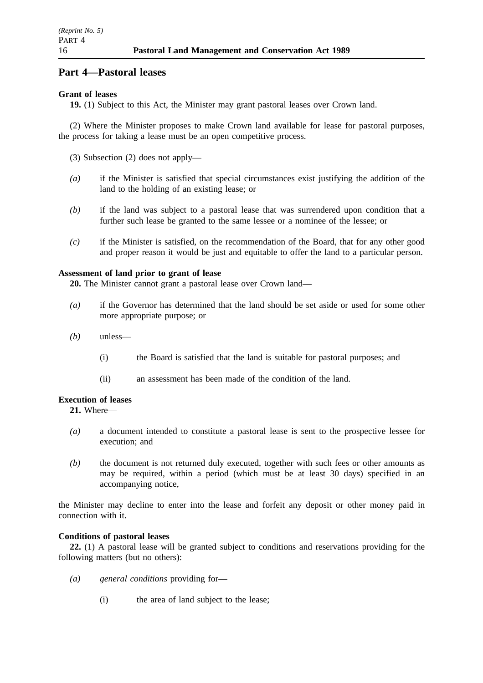# **Part 4—Pastoral leases**

## **Grant of leases**

**19.** (1) Subject to this Act, the Minister may grant pastoral leases over Crown land.

(2) Where the Minister proposes to make Crown land available for lease for pastoral purposes, the process for taking a lease must be an open competitive process.

(3) Subsection (2) does not apply—

- *(a)* if the Minister is satisfied that special circumstances exist justifying the addition of the land to the holding of an existing lease; or
- *(b)* if the land was subject to a pastoral lease that was surrendered upon condition that a further such lease be granted to the same lessee or a nominee of the lessee; or
- *(c)* if the Minister is satisfied, on the recommendation of the Board, that for any other good and proper reason it would be just and equitable to offer the land to a particular person.

## **Assessment of land prior to grant of lease**

**20.** The Minister cannot grant a pastoral lease over Crown land—

- *(a)* if the Governor has determined that the land should be set aside or used for some other more appropriate purpose; or
- *(b)* unless—
	- (i) the Board is satisfied that the land is suitable for pastoral purposes; and
	- (ii) an assessment has been made of the condition of the land.

## **Execution of leases**

**21.** Where—

- *(a)* a document intended to constitute a pastoral lease is sent to the prospective lessee for execution; and
- *(b)* the document is not returned duly executed, together with such fees or other amounts as may be required, within a period (which must be at least 30 days) specified in an accompanying notice,

the Minister may decline to enter into the lease and forfeit any deposit or other money paid in connection with it.

## **Conditions of pastoral leases**

**22.** (1) A pastoral lease will be granted subject to conditions and reservations providing for the following matters (but no others):

- *(a) general conditions* providing for—
	- (i) the area of land subject to the lease;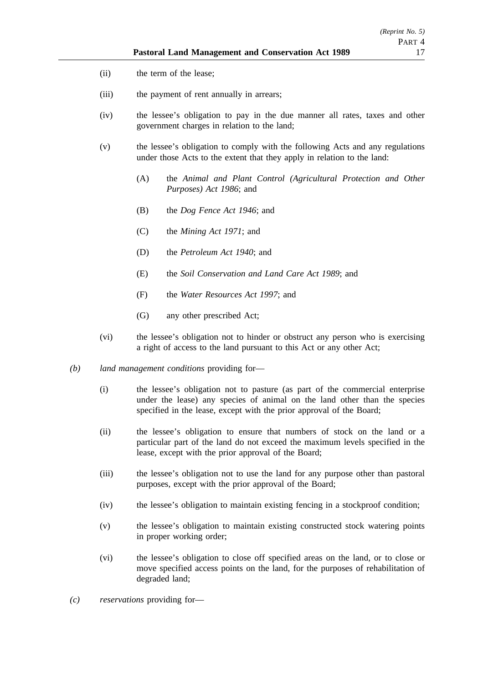- (ii) the term of the lease;
- (iii) the payment of rent annually in arrears;
- (iv) the lessee's obligation to pay in the due manner all rates, taxes and other government charges in relation to the land;
- (v) the lessee's obligation to comply with the following Acts and any regulations under those Acts to the extent that they apply in relation to the land:
	- (A) the *Animal and Plant Control (Agricultural Protection and Other Purposes) Act 1986*; and
	- (B) the *Dog Fence Act 1946*; and
	- (C) the *Mining Act 1971*; and
	- (D) the *Petroleum Act 1940*; and
	- (E) the *Soil Conservation and Land Care Act 1989*; and
	- (F) the *Water Resources Act 1997*; and
	- (G) any other prescribed Act;
- (vi) the lessee's obligation not to hinder or obstruct any person who is exercising a right of access to the land pursuant to this Act or any other Act;
- *(b) land management conditions* providing for—
	- (i) the lessee's obligation not to pasture (as part of the commercial enterprise under the lease) any species of animal on the land other than the species specified in the lease, except with the prior approval of the Board;
	- (ii) the lessee's obligation to ensure that numbers of stock on the land or a particular part of the land do not exceed the maximum levels specified in the lease, except with the prior approval of the Board;
	- (iii) the lessee's obligation not to use the land for any purpose other than pastoral purposes, except with the prior approval of the Board;
	- (iv) the lessee's obligation to maintain existing fencing in a stockproof condition;
	- (v) the lessee's obligation to maintain existing constructed stock watering points in proper working order;
	- (vi) the lessee's obligation to close off specified areas on the land, or to close or move specified access points on the land, for the purposes of rehabilitation of degraded land;
- *(c) reservations* providing for—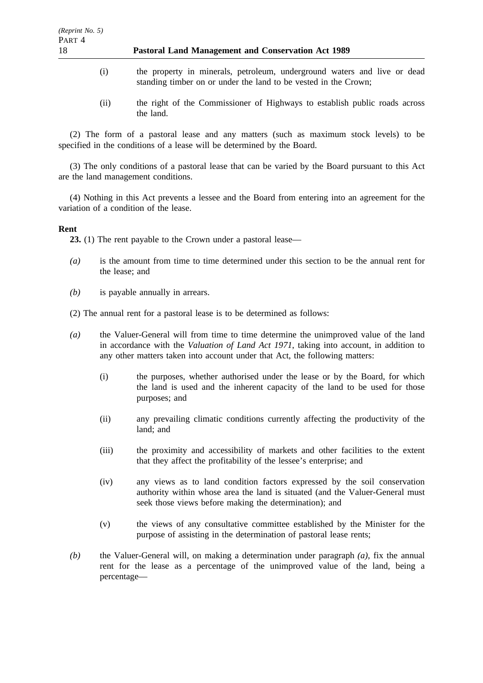- (i) the property in minerals, petroleum, underground waters and live or dead standing timber on or under the land to be vested in the Crown;
- (ii) the right of the Commissioner of Highways to establish public roads across the land.

(2) The form of a pastoral lease and any matters (such as maximum stock levels) to be specified in the conditions of a lease will be determined by the Board.

(3) The only conditions of a pastoral lease that can be varied by the Board pursuant to this Act are the land management conditions.

(4) Nothing in this Act prevents a lessee and the Board from entering into an agreement for the variation of a condition of the lease.

### **Rent**

**23.** (1) The rent payable to the Crown under a pastoral lease—

- *(a)* is the amount from time to time determined under this section to be the annual rent for the lease; and
- *(b)* is payable annually in arrears.

(2) The annual rent for a pastoral lease is to be determined as follows:

- *(a)* the Valuer-General will from time to time determine the unimproved value of the land in accordance with the *Valuation of Land Act 1971*, taking into account, in addition to any other matters taken into account under that Act, the following matters:
	- (i) the purposes, whether authorised under the lease or by the Board, for which the land is used and the inherent capacity of the land to be used for those purposes; and
	- (ii) any prevailing climatic conditions currently affecting the productivity of the land; and
	- (iii) the proximity and accessibility of markets and other facilities to the extent that they affect the profitability of the lessee's enterprise; and
	- (iv) any views as to land condition factors expressed by the soil conservation authority within whose area the land is situated (and the Valuer-General must seek those views before making the determination); and
	- (v) the views of any consultative committee established by the Minister for the purpose of assisting in the determination of pastoral lease rents;
- *(b)* the Valuer-General will, on making a determination under paragraph *(a)*, fix the annual rent for the lease as a percentage of the unimproved value of the land, being a percentage—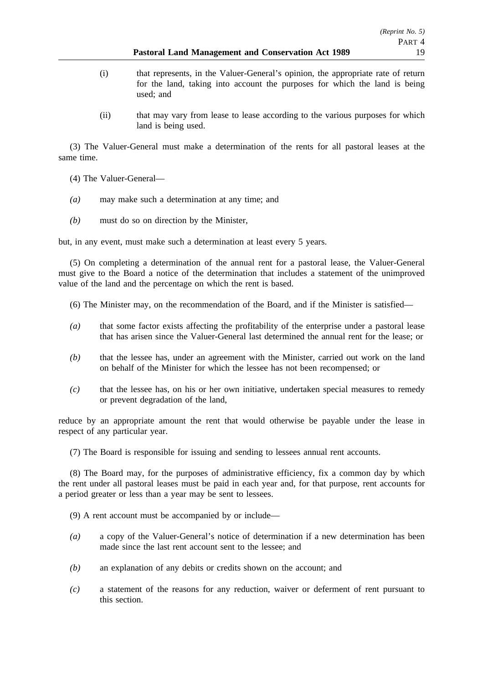#### **Pastoral Land Management and Conservation Act 1989** 19

- (i) that represents, in the Valuer-General's opinion, the appropriate rate of return for the land, taking into account the purposes for which the land is being used; and
- (ii) that may vary from lease to lease according to the various purposes for which land is being used.

(3) The Valuer-General must make a determination of the rents for all pastoral leases at the same time.

- (4) The Valuer-General—
- *(a)* may make such a determination at any time; and
- *(b)* must do so on direction by the Minister,

but, in any event, must make such a determination at least every 5 years.

(5) On completing a determination of the annual rent for a pastoral lease, the Valuer-General must give to the Board a notice of the determination that includes a statement of the unimproved value of the land and the percentage on which the rent is based.

- (6) The Minister may, on the recommendation of the Board, and if the Minister is satisfied—
- *(a)* that some factor exists affecting the profitability of the enterprise under a pastoral lease that has arisen since the Valuer-General last determined the annual rent for the lease; or
- *(b)* that the lessee has, under an agreement with the Minister, carried out work on the land on behalf of the Minister for which the lessee has not been recompensed; or
- *(c)* that the lessee has, on his or her own initiative, undertaken special measures to remedy or prevent degradation of the land,

reduce by an appropriate amount the rent that would otherwise be payable under the lease in respect of any particular year.

(7) The Board is responsible for issuing and sending to lessees annual rent accounts.

(8) The Board may, for the purposes of administrative efficiency, fix a common day by which the rent under all pastoral leases must be paid in each year and, for that purpose, rent accounts for a period greater or less than a year may be sent to lessees.

(9) A rent account must be accompanied by or include—

- *(a)* a copy of the Valuer-General's notice of determination if a new determination has been made since the last rent account sent to the lessee; and
- *(b)* an explanation of any debits or credits shown on the account; and
- *(c)* a statement of the reasons for any reduction, waiver or deferment of rent pursuant to this section.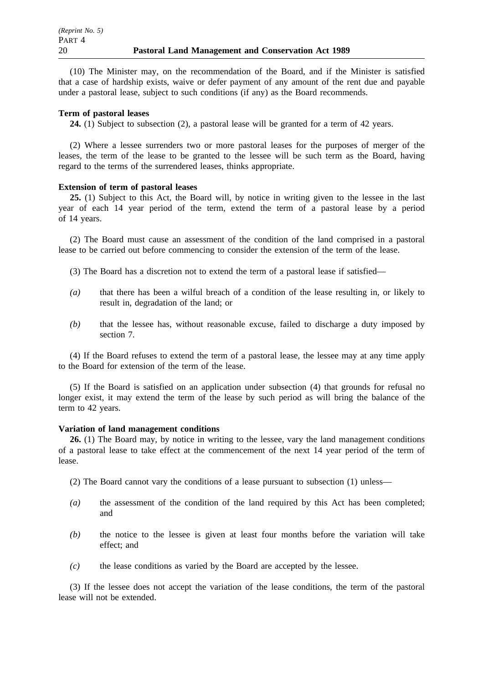(10) The Minister may, on the recommendation of the Board, and if the Minister is satisfied that a case of hardship exists, waive or defer payment of any amount of the rent due and payable under a pastoral lease, subject to such conditions (if any) as the Board recommends.

### **Term of pastoral leases**

**24.** (1) Subject to subsection (2), a pastoral lease will be granted for a term of 42 years.

(2) Where a lessee surrenders two or more pastoral leases for the purposes of merger of the leases, the term of the lease to be granted to the lessee will be such term as the Board, having regard to the terms of the surrendered leases, thinks appropriate.

### **Extension of term of pastoral leases**

**25.** (1) Subject to this Act, the Board will, by notice in writing given to the lessee in the last year of each 14 year period of the term, extend the term of a pastoral lease by a period of 14 years.

(2) The Board must cause an assessment of the condition of the land comprised in a pastoral lease to be carried out before commencing to consider the extension of the term of the lease.

- (3) The Board has a discretion not to extend the term of a pastoral lease if satisfied—
- *(a)* that there has been a wilful breach of a condition of the lease resulting in, or likely to result in, degradation of the land; or
- *(b)* that the lessee has, without reasonable excuse, failed to discharge a duty imposed by section 7.

(4) If the Board refuses to extend the term of a pastoral lease, the lessee may at any time apply to the Board for extension of the term of the lease.

(5) If the Board is satisfied on an application under subsection (4) that grounds for refusal no longer exist, it may extend the term of the lease by such period as will bring the balance of the term to 42 years.

### **Variation of land management conditions**

**26.** (1) The Board may, by notice in writing to the lessee, vary the land management conditions of a pastoral lease to take effect at the commencement of the next 14 year period of the term of lease.

- (2) The Board cannot vary the conditions of a lease pursuant to subsection (1) unless—
- *(a)* the assessment of the condition of the land required by this Act has been completed; and
- *(b)* the notice to the lessee is given at least four months before the variation will take effect; and
- *(c)* the lease conditions as varied by the Board are accepted by the lessee.

(3) If the lessee does not accept the variation of the lease conditions, the term of the pastoral lease will not be extended.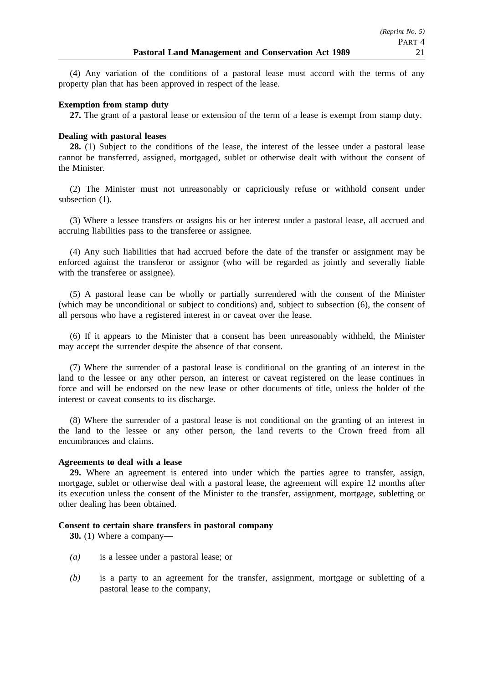(4) Any variation of the conditions of a pastoral lease must accord with the terms of any property plan that has been approved in respect of the lease.

### **Exemption from stamp duty**

**27.** The grant of a pastoral lease or extension of the term of a lease is exempt from stamp duty.

### **Dealing with pastoral leases**

**28.** (1) Subject to the conditions of the lease, the interest of the lessee under a pastoral lease cannot be transferred, assigned, mortgaged, sublet or otherwise dealt with without the consent of the Minister.

(2) The Minister must not unreasonably or capriciously refuse or withhold consent under subsection  $(1)$ .

(3) Where a lessee transfers or assigns his or her interest under a pastoral lease, all accrued and accruing liabilities pass to the transferee or assignee.

(4) Any such liabilities that had accrued before the date of the transfer or assignment may be enforced against the transferor or assignor (who will be regarded as jointly and severally liable with the transferee or assignee).

(5) A pastoral lease can be wholly or partially surrendered with the consent of the Minister (which may be unconditional or subject to conditions) and, subject to subsection (6), the consent of all persons who have a registered interest in or caveat over the lease.

(6) If it appears to the Minister that a consent has been unreasonably withheld, the Minister may accept the surrender despite the absence of that consent.

(7) Where the surrender of a pastoral lease is conditional on the granting of an interest in the land to the lessee or any other person, an interest or caveat registered on the lease continues in force and will be endorsed on the new lease or other documents of title, unless the holder of the interest or caveat consents to its discharge.

(8) Where the surrender of a pastoral lease is not conditional on the granting of an interest in the land to the lessee or any other person, the land reverts to the Crown freed from all encumbrances and claims.

### **Agreements to deal with a lease**

**29.** Where an agreement is entered into under which the parties agree to transfer, assign, mortgage, sublet or otherwise deal with a pastoral lease, the agreement will expire 12 months after its execution unless the consent of the Minister to the transfer, assignment, mortgage, subletting or other dealing has been obtained.

### **Consent to certain share transfers in pastoral company**

**30.** (1) Where a company—

- *(a)* is a lessee under a pastoral lease; or
- *(b)* is a party to an agreement for the transfer, assignment, mortgage or subletting of a pastoral lease to the company,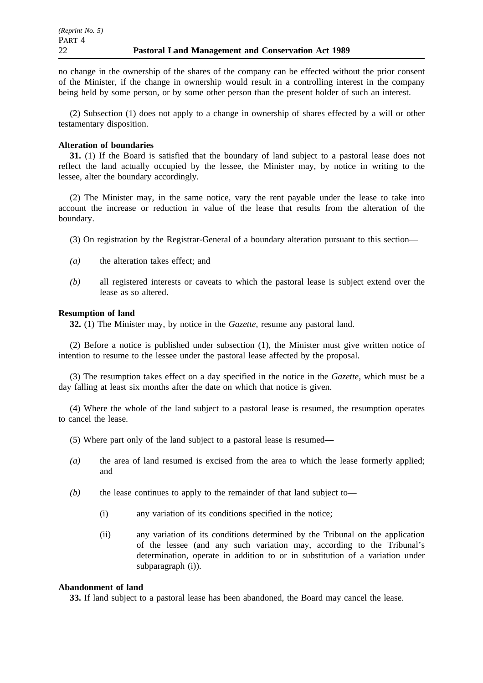no change in the ownership of the shares of the company can be effected without the prior consent of the Minister, if the change in ownership would result in a controlling interest in the company being held by some person, or by some other person than the present holder of such an interest.

(2) Subsection (1) does not apply to a change in ownership of shares effected by a will or other testamentary disposition.

### **Alteration of boundaries**

**31.** (1) If the Board is satisfied that the boundary of land subject to a pastoral lease does not reflect the land actually occupied by the lessee, the Minister may, by notice in writing to the lessee, alter the boundary accordingly.

(2) The Minister may, in the same notice, vary the rent payable under the lease to take into account the increase or reduction in value of the lease that results from the alteration of the boundary.

- (3) On registration by the Registrar-General of a boundary alteration pursuant to this section—
- *(a)* the alteration takes effect; and
- *(b)* all registered interests or caveats to which the pastoral lease is subject extend over the lease as so altered.

### **Resumption of land**

**32.** (1) The Minister may, by notice in the *Gazette*, resume any pastoral land.

(2) Before a notice is published under subsection (1), the Minister must give written notice of intention to resume to the lessee under the pastoral lease affected by the proposal.

(3) The resumption takes effect on a day specified in the notice in the *Gazette*, which must be a day falling at least six months after the date on which that notice is given.

(4) Where the whole of the land subject to a pastoral lease is resumed, the resumption operates to cancel the lease.

- (5) Where part only of the land subject to a pastoral lease is resumed—
- *(a)* the area of land resumed is excised from the area to which the lease formerly applied; and
- *(b)* the lease continues to apply to the remainder of that land subject to—
	- (i) any variation of its conditions specified in the notice;
	- (ii) any variation of its conditions determined by the Tribunal on the application of the lessee (and any such variation may, according to the Tribunal's determination, operate in addition to or in substitution of a variation under subparagraph (i)).

### **Abandonment of land**

**33.** If land subject to a pastoral lease has been abandoned, the Board may cancel the lease.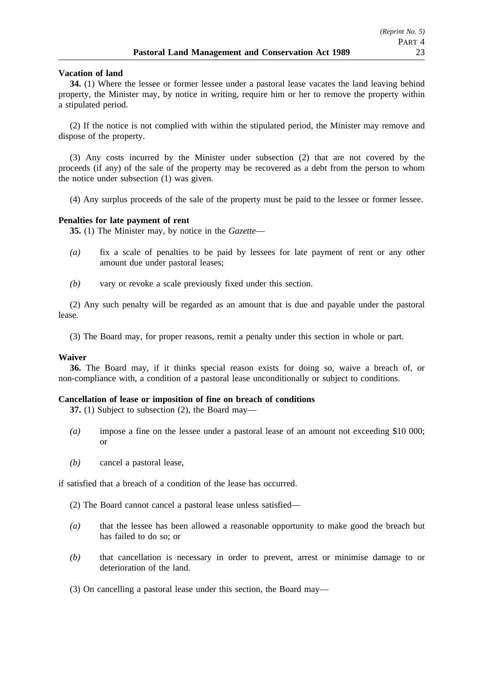### **Vacation of land**

**34.** (1) Where the lessee or former lessee under a pastoral lease vacates the land leaving behind property, the Minister may, by notice in writing, require him or her to remove the property within a stipulated period.

(2) If the notice is not complied with within the stipulated period, the Minister may remove and dispose of the property.

(3) Any costs incurred by the Minister under subsection (2) that are not covered by the proceeds (if any) of the sale of the property may be recovered as a debt from the person to whom the notice under subsection (1) was given.

(4) Any surplus proceeds of the sale of the property must be paid to the lessee or former lessee.

### **Penalties for late payment of rent**

**35.** (1) The Minister may, by notice in the *Gazette*—

- *(a)* fix a scale of penalties to be paid by lessees for late payment of rent or any other amount due under pastoral leases;
- *(b)* vary or revoke a scale previously fixed under this section.

(2) Any such penalty will be regarded as an amount that is due and payable under the pastoral lease.

(3) The Board may, for proper reasons, remit a penalty under this section in whole or part.

### **Waiver**

**36.** The Board may, if it thinks special reason exists for doing so, waive a breach of, or non-compliance with, a condition of a pastoral lease unconditionally or subject to conditions.

### **Cancellation of lease or imposition of fine on breach of conditions**

**37.** (1) Subject to subsection (2), the Board may—

- *(a)* impose a fine on the lessee under a pastoral lease of an amount not exceeding \$10 000; or
- *(b)* cancel a pastoral lease,

if satisfied that a breach of a condition of the lease has occurred.

- (2) The Board cannot cancel a pastoral lease unless satisfied—
- *(a)* that the lessee has been allowed a reasonable opportunity to make good the breach but has failed to do so; or
- *(b)* that cancellation is necessary in order to prevent, arrest or minimise damage to or deterioration of the land.
- (3) On cancelling a pastoral lease under this section, the Board may—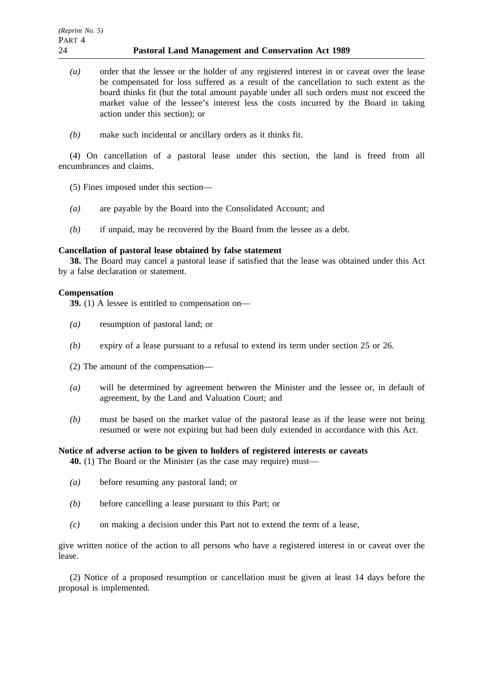- *(a)* order that the lessee or the holder of any registered interest in or caveat over the lease be compensated for loss suffered as a result of the cancellation to such extent as the board thinks fit (but the total amount payable under all such orders must not exceed the market value of the lessee's interest less the costs incurred by the Board in taking action under this section); or
- *(b)* make such incidental or ancillary orders as it thinks fit.

(4) On cancellation of a pastoral lease under this section, the land is freed from all encumbrances and claims.

- (5) Fines imposed under this section—
- *(a)* are payable by the Board into the Consolidated Account; and
- *(b)* if unpaid, may be recovered by the Board from the lessee as a debt.

### **Cancellation of pastoral lease obtained by false statement**

**38.** The Board may cancel a pastoral lease if satisfied that the lease was obtained under this Act by a false declaration or statement.

### **Compensation**

**39.** (1) A lessee is entitled to compensation on—

- *(a)* resumption of pastoral land; or
- *(b)* expiry of a lease pursuant to a refusal to extend its term under section 25 or 26.
- (2) The amount of the compensation—
- *(a)* will be determined by agreement between the Minister and the lessee or, in default of agreement, by the Land and Valuation Court; and
- *(b)* must be based on the market value of the pastoral lease as if the lease were not being resumed or were not expiring but had been duly extended in accordance with this Act.

### **Notice of adverse action to be given to holders of registered interests or caveats**

**40.** (1) The Board or the Minister (as the case may require) must—

- *(a)* before resuming any pastoral land; or
- *(b)* before cancelling a lease pursuant to this Part; or
- *(c)* on making a decision under this Part not to extend the term of a lease,

give written notice of the action to all persons who have a registered interest in or caveat over the lease.

(2) Notice of a proposed resumption or cancellation must be given at least 14 days before the proposal is implemented.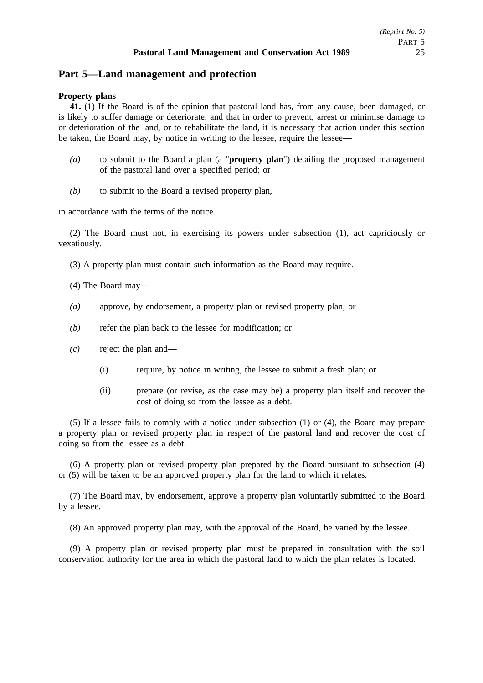## **Part 5—Land management and protection**

### **Property plans**

**41.** (1) If the Board is of the opinion that pastoral land has, from any cause, been damaged, or is likely to suffer damage or deteriorate, and that in order to prevent, arrest or minimise damage to or deterioration of the land, or to rehabilitate the land, it is necessary that action under this section be taken, the Board may, by notice in writing to the lessee, require the lessee—

- *(a)* to submit to the Board a plan (a "**property plan**") detailing the proposed management of the pastoral land over a specified period; or
- *(b)* to submit to the Board a revised property plan,

in accordance with the terms of the notice.

(2) The Board must not, in exercising its powers under subsection (1), act capriciously or vexatiously.

(3) A property plan must contain such information as the Board may require.

(4) The Board may—

- *(a)* approve, by endorsement, a property plan or revised property plan; or
- *(b)* refer the plan back to the lessee for modification; or
- *(c)* reject the plan and—
	- (i) require, by notice in writing, the lessee to submit a fresh plan; or
	- (ii) prepare (or revise, as the case may be) a property plan itself and recover the cost of doing so from the lessee as a debt.

(5) If a lessee fails to comply with a notice under subsection (1) or (4), the Board may prepare a property plan or revised property plan in respect of the pastoral land and recover the cost of doing so from the lessee as a debt.

(6) A property plan or revised property plan prepared by the Board pursuant to subsection (4) or (5) will be taken to be an approved property plan for the land to which it relates.

(7) The Board may, by endorsement, approve a property plan voluntarily submitted to the Board by a lessee.

(8) An approved property plan may, with the approval of the Board, be varied by the lessee.

(9) A property plan or revised property plan must be prepared in consultation with the soil conservation authority for the area in which the pastoral land to which the plan relates is located.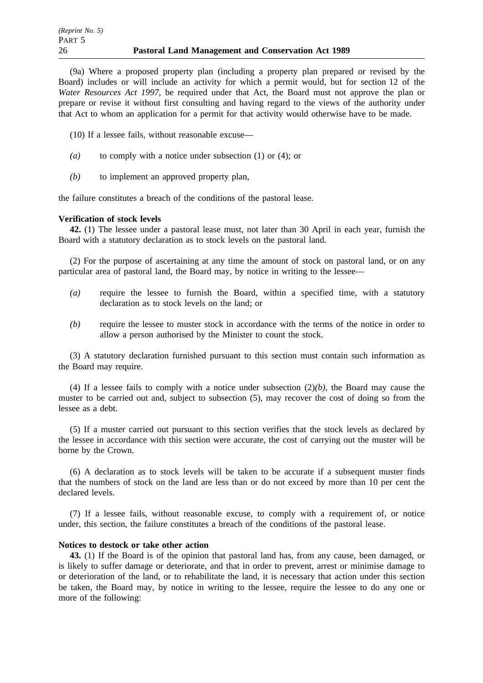(9a) Where a proposed property plan (including a property plan prepared or revised by the Board) includes or will include an activity for which a permit would, but for section 12 of the *Water Resources Act 1997*, be required under that Act, the Board must not approve the plan or prepare or revise it without first consulting and having regard to the views of the authority under that Act to whom an application for a permit for that activity would otherwise have to be made.

(10) If a lessee fails, without reasonable excuse—

- *(a)* to comply with a notice under subsection (1) or (4); or
- *(b)* to implement an approved property plan,

the failure constitutes a breach of the conditions of the pastoral lease.

### **Verification of stock levels**

**42.** (1) The lessee under a pastoral lease must, not later than 30 April in each year, furnish the Board with a statutory declaration as to stock levels on the pastoral land.

(2) For the purpose of ascertaining at any time the amount of stock on pastoral land, or on any particular area of pastoral land, the Board may, by notice in writing to the lessee—

- *(a)* require the lessee to furnish the Board, within a specified time, with a statutory declaration as to stock levels on the land; or
- *(b)* require the lessee to muster stock in accordance with the terms of the notice in order to allow a person authorised by the Minister to count the stock.

(3) A statutory declaration furnished pursuant to this section must contain such information as the Board may require.

(4) If a lessee fails to comply with a notice under subsection (2)*(b)*, the Board may cause the muster to be carried out and, subject to subsection (5), may recover the cost of doing so from the lessee as a debt.

(5) If a muster carried out pursuant to this section verifies that the stock levels as declared by the lessee in accordance with this section were accurate, the cost of carrying out the muster will be borne by the Crown.

(6) A declaration as to stock levels will be taken to be accurate if a subsequent muster finds that the numbers of stock on the land are less than or do not exceed by more than 10 per cent the declared levels.

(7) If a lessee fails, without reasonable excuse, to comply with a requirement of, or notice under, this section, the failure constitutes a breach of the conditions of the pastoral lease.

### **Notices to destock or take other action**

**43.** (1) If the Board is of the opinion that pastoral land has, from any cause, been damaged, or is likely to suffer damage or deteriorate, and that in order to prevent, arrest or minimise damage to or deterioration of the land, or to rehabilitate the land, it is necessary that action under this section be taken, the Board may, by notice in writing to the lessee, require the lessee to do any one or more of the following: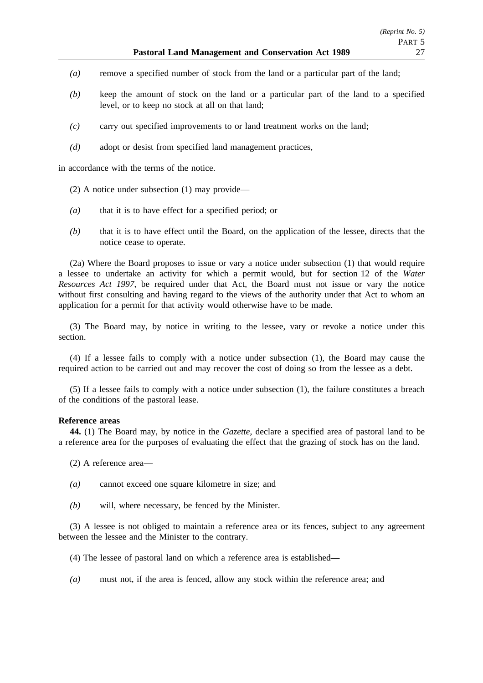- *(a)* remove a specified number of stock from the land or a particular part of the land;
- *(b)* keep the amount of stock on the land or a particular part of the land to a specified level, or to keep no stock at all on that land;
- *(c)* carry out specified improvements to or land treatment works on the land;
- *(d)* adopt or desist from specified land management practices,

in accordance with the terms of the notice.

- (2) A notice under subsection (1) may provide—
- *(a)* that it is to have effect for a specified period; or
- *(b)* that it is to have effect until the Board, on the application of the lessee, directs that the notice cease to operate.

(2a) Where the Board proposes to issue or vary a notice under subsection (1) that would require a lessee to undertake an activity for which a permit would, but for section 12 of the *Water Resources Act 1997*, be required under that Act, the Board must not issue or vary the notice without first consulting and having regard to the views of the authority under that Act to whom an application for a permit for that activity would otherwise have to be made.

(3) The Board may, by notice in writing to the lessee, vary or revoke a notice under this section.

(4) If a lessee fails to comply with a notice under subsection (1), the Board may cause the required action to be carried out and may recover the cost of doing so from the lessee as a debt.

(5) If a lessee fails to comply with a notice under subsection (1), the failure constitutes a breach of the conditions of the pastoral lease.

### **Reference areas**

**44.** (1) The Board may, by notice in the *Gazette*, declare a specified area of pastoral land to be a reference area for the purposes of evaluating the effect that the grazing of stock has on the land.

(2) A reference area—

- *(a)* cannot exceed one square kilometre in size; and
- *(b)* will, where necessary, be fenced by the Minister.

(3) A lessee is not obliged to maintain a reference area or its fences, subject to any agreement between the lessee and the Minister to the contrary.

- (4) The lessee of pastoral land on which a reference area is established—
- *(a)* must not, if the area is fenced, allow any stock within the reference area; and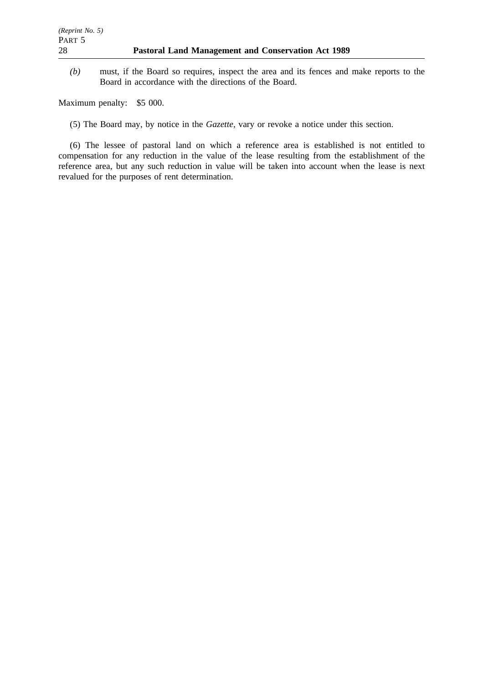*(b)* must, if the Board so requires, inspect the area and its fences and make reports to the Board in accordance with the directions of the Board.

Maximum penalty: \$5 000.

(5) The Board may, by notice in the *Gazette*, vary or revoke a notice under this section.

(6) The lessee of pastoral land on which a reference area is established is not entitled to compensation for any reduction in the value of the lease resulting from the establishment of the reference area, but any such reduction in value will be taken into account when the lease is next revalued for the purposes of rent determination.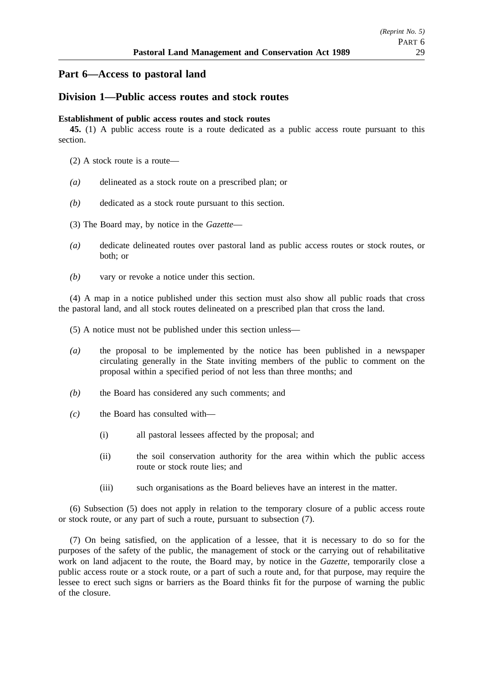## **Part 6—Access to pastoral land**

## **Division 1—Public access routes and stock routes**

### **Establishment of public access routes and stock routes**

**45.** (1) A public access route is a route dedicated as a public access route pursuant to this section.

- (2) A stock route is a route—
- *(a)* delineated as a stock route on a prescribed plan; or
- *(b)* dedicated as a stock route pursuant to this section.
- (3) The Board may, by notice in the *Gazette*—
- *(a)* dedicate delineated routes over pastoral land as public access routes or stock routes, or both; or
- *(b)* vary or revoke a notice under this section.

(4) A map in a notice published under this section must also show all public roads that cross the pastoral land, and all stock routes delineated on a prescribed plan that cross the land.

(5) A notice must not be published under this section unless—

- *(a)* the proposal to be implemented by the notice has been published in a newspaper circulating generally in the State inviting members of the public to comment on the proposal within a specified period of not less than three months; and
- *(b)* the Board has considered any such comments; and
- *(c)* the Board has consulted with—
	- (i) all pastoral lessees affected by the proposal; and
	- (ii) the soil conservation authority for the area within which the public access route or stock route lies; and
	- (iii) such organisations as the Board believes have an interest in the matter.

(6) Subsection (5) does not apply in relation to the temporary closure of a public access route or stock route, or any part of such a route, pursuant to subsection (7).

(7) On being satisfied, on the application of a lessee, that it is necessary to do so for the purposes of the safety of the public, the management of stock or the carrying out of rehabilitative work on land adjacent to the route, the Board may, by notice in the *Gazette*, temporarily close a public access route or a stock route, or a part of such a route and, for that purpose, may require the lessee to erect such signs or barriers as the Board thinks fit for the purpose of warning the public of the closure.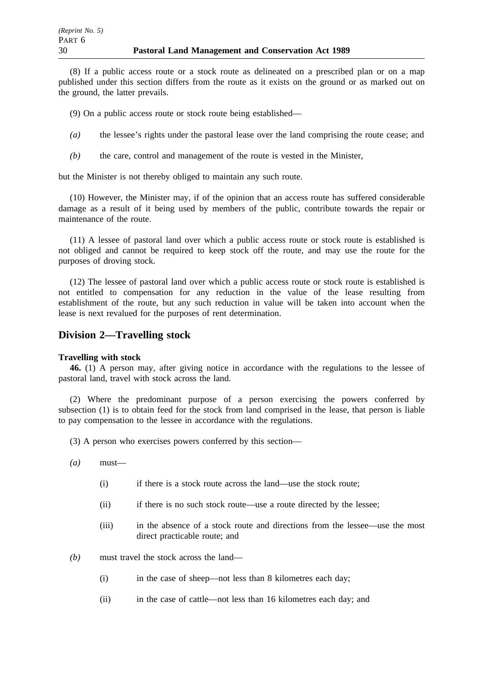(8) If a public access route or a stock route as delineated on a prescribed plan or on a map published under this section differs from the route as it exists on the ground or as marked out on the ground, the latter prevails.

(9) On a public access route or stock route being established—

- *(a)* the lessee's rights under the pastoral lease over the land comprising the route cease; and
- *(b)* the care, control and management of the route is vested in the Minister,

but the Minister is not thereby obliged to maintain any such route.

(10) However, the Minister may, if of the opinion that an access route has suffered considerable damage as a result of it being used by members of the public, contribute towards the repair or maintenance of the route.

(11) A lessee of pastoral land over which a public access route or stock route is established is not obliged and cannot be required to keep stock off the route, and may use the route for the purposes of droving stock.

(12) The lessee of pastoral land over which a public access route or stock route is established is not entitled to compensation for any reduction in the value of the lease resulting from establishment of the route, but any such reduction in value will be taken into account when the lease is next revalued for the purposes of rent determination.

## **Division 2—Travelling stock**

### **Travelling with stock**

**46.** (1) A person may, after giving notice in accordance with the regulations to the lessee of pastoral land, travel with stock across the land.

(2) Where the predominant purpose of a person exercising the powers conferred by subsection (1) is to obtain feed for the stock from land comprised in the lease, that person is liable to pay compensation to the lessee in accordance with the regulations.

- (3) A person who exercises powers conferred by this section—
- *(a)* must—
	- (i) if there is a stock route across the land—use the stock route;
	- (ii) if there is no such stock route—use a route directed by the lessee;
	- (iii) in the absence of a stock route and directions from the lessee—use the most direct practicable route; and
- *(b)* must travel the stock across the land—
	- (i) in the case of sheep—not less than 8 kilometres each day;
	- (ii) in the case of cattle—not less than 16 kilometres each day; and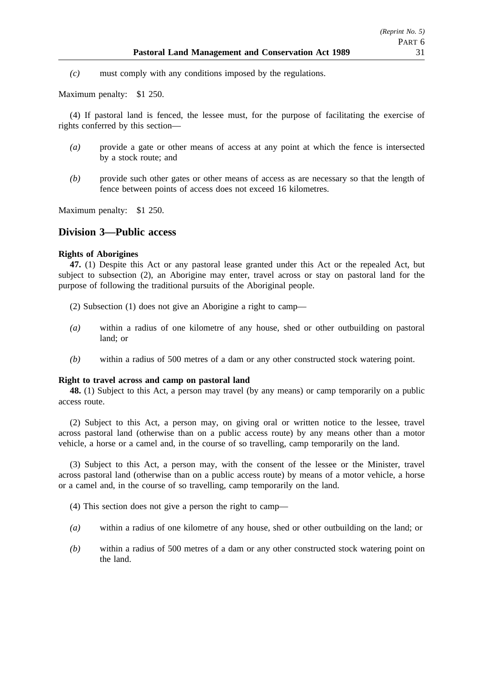*(c)* must comply with any conditions imposed by the regulations.

Maximum penalty: \$1 250.

(4) If pastoral land is fenced, the lessee must, for the purpose of facilitating the exercise of rights conferred by this section—

- *(a)* provide a gate or other means of access at any point at which the fence is intersected by a stock route; and
- *(b)* provide such other gates or other means of access as are necessary so that the length of fence between points of access does not exceed 16 kilometres.

Maximum penalty: \$1 250.

## **Division 3—Public access**

### **Rights of Aborigines**

**47.** (1) Despite this Act or any pastoral lease granted under this Act or the repealed Act, but subject to subsection (2), an Aborigine may enter, travel across or stay on pastoral land for the purpose of following the traditional pursuits of the Aboriginal people.

- (2) Subsection (1) does not give an Aborigine a right to camp—
- *(a)* within a radius of one kilometre of any house, shed or other outbuilding on pastoral land; or
- *(b)* within a radius of 500 metres of a dam or any other constructed stock watering point.

#### **Right to travel across and camp on pastoral land**

**48.** (1) Subject to this Act, a person may travel (by any means) or camp temporarily on a public access route.

(2) Subject to this Act, a person may, on giving oral or written notice to the lessee, travel across pastoral land (otherwise than on a public access route) by any means other than a motor vehicle, a horse or a camel and, in the course of so travelling, camp temporarily on the land.

(3) Subject to this Act, a person may, with the consent of the lessee or the Minister, travel across pastoral land (otherwise than on a public access route) by means of a motor vehicle, a horse or a camel and, in the course of so travelling, camp temporarily on the land.

(4) This section does not give a person the right to camp—

- *(a)* within a radius of one kilometre of any house, shed or other outbuilding on the land; or
- *(b)* within a radius of 500 metres of a dam or any other constructed stock watering point on the land.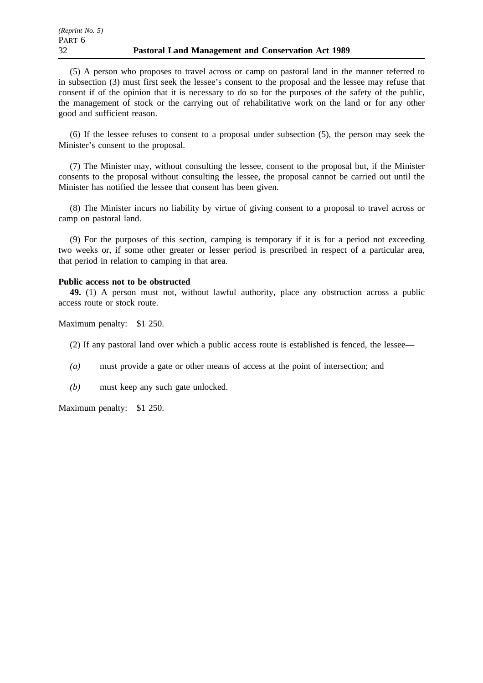(5) A person who proposes to travel across or camp on pastoral land in the manner referred to in subsection (3) must first seek the lessee's consent to the proposal and the lessee may refuse that consent if of the opinion that it is necessary to do so for the purposes of the safety of the public, the management of stock or the carrying out of rehabilitative work on the land or for any other good and sufficient reason.

(6) If the lessee refuses to consent to a proposal under subsection (5), the person may seek the Minister's consent to the proposal.

(7) The Minister may, without consulting the lessee, consent to the proposal but, if the Minister consents to the proposal without consulting the lessee, the proposal cannot be carried out until the Minister has notified the lessee that consent has been given.

(8) The Minister incurs no liability by virtue of giving consent to a proposal to travel across or camp on pastoral land.

(9) For the purposes of this section, camping is temporary if it is for a period not exceeding two weeks or, if some other greater or lesser period is prescribed in respect of a particular area, that period in relation to camping in that area.

#### **Public access not to be obstructed**

**49.** (1) A person must not, without lawful authority, place any obstruction across a public access route or stock route.

Maximum penalty: \$1 250.

(2) If any pastoral land over which a public access route is established is fenced, the lessee—

- *(a)* must provide a gate or other means of access at the point of intersection; and
- *(b)* must keep any such gate unlocked.

Maximum penalty: \$1 250.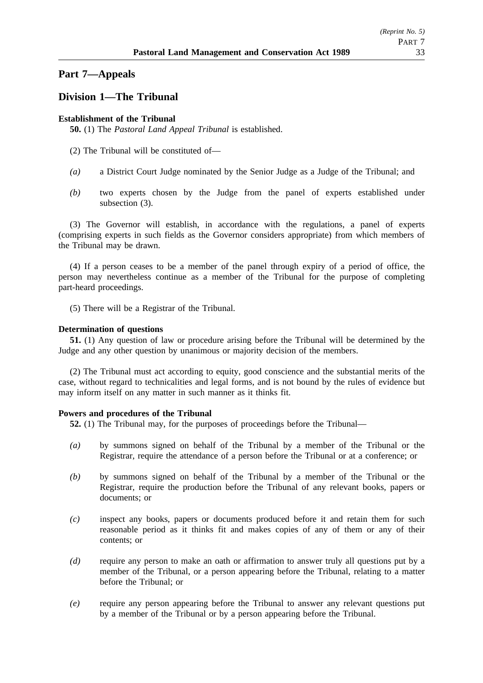## **Part 7—Appeals**

## **Division 1—The Tribunal**

## **Establishment of the Tribunal**

**50.** (1) The *Pastoral Land Appeal Tribunal* is established.

- (2) The Tribunal will be constituted of—
- *(a)* a District Court Judge nominated by the Senior Judge as a Judge of the Tribunal; and
- *(b)* two experts chosen by the Judge from the panel of experts established under subsection (3).

(3) The Governor will establish, in accordance with the regulations, a panel of experts (comprising experts in such fields as the Governor considers appropriate) from which members of the Tribunal may be drawn.

(4) If a person ceases to be a member of the panel through expiry of a period of office, the person may nevertheless continue as a member of the Tribunal for the purpose of completing part-heard proceedings.

(5) There will be a Registrar of the Tribunal.

### **Determination of questions**

**51.** (1) Any question of law or procedure arising before the Tribunal will be determined by the Judge and any other question by unanimous or majority decision of the members.

(2) The Tribunal must act according to equity, good conscience and the substantial merits of the case, without regard to technicalities and legal forms, and is not bound by the rules of evidence but may inform itself on any matter in such manner as it thinks fit.

### **Powers and procedures of the Tribunal**

**52.** (1) The Tribunal may, for the purposes of proceedings before the Tribunal—

- *(a)* by summons signed on behalf of the Tribunal by a member of the Tribunal or the Registrar, require the attendance of a person before the Tribunal or at a conference; or
- *(b)* by summons signed on behalf of the Tribunal by a member of the Tribunal or the Registrar, require the production before the Tribunal of any relevant books, papers or documents; or
- *(c)* inspect any books, papers or documents produced before it and retain them for such reasonable period as it thinks fit and makes copies of any of them or any of their contents; or
- *(d)* require any person to make an oath or affirmation to answer truly all questions put by a member of the Tribunal, or a person appearing before the Tribunal, relating to a matter before the Tribunal; or
- *(e)* require any person appearing before the Tribunal to answer any relevant questions put by a member of the Tribunal or by a person appearing before the Tribunal.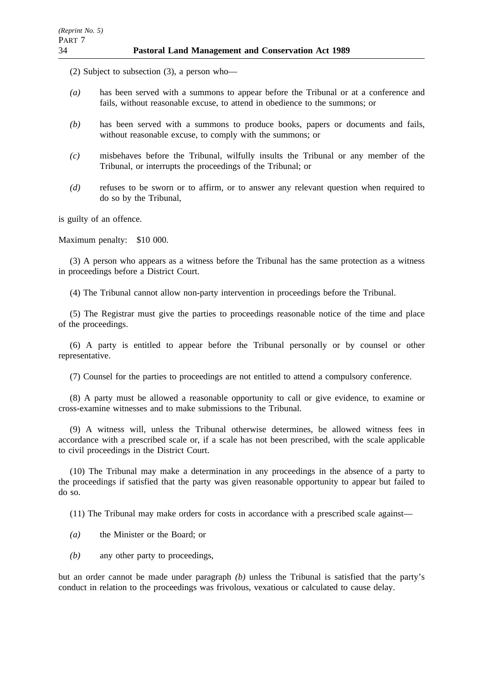(2) Subject to subsection (3), a person who—

- *(a)* has been served with a summons to appear before the Tribunal or at a conference and fails, without reasonable excuse, to attend in obedience to the summons; or
- *(b)* has been served with a summons to produce books, papers or documents and fails, without reasonable excuse, to comply with the summons; or
- *(c)* misbehaves before the Tribunal, wilfully insults the Tribunal or any member of the Tribunal, or interrupts the proceedings of the Tribunal; or
- *(d)* refuses to be sworn or to affirm, or to answer any relevant question when required to do so by the Tribunal,

is guilty of an offence.

Maximum penalty: \$10 000.

(3) A person who appears as a witness before the Tribunal has the same protection as a witness in proceedings before a District Court.

(4) The Tribunal cannot allow non-party intervention in proceedings before the Tribunal.

(5) The Registrar must give the parties to proceedings reasonable notice of the time and place of the proceedings.

(6) A party is entitled to appear before the Tribunal personally or by counsel or other representative.

(7) Counsel for the parties to proceedings are not entitled to attend a compulsory conference.

(8) A party must be allowed a reasonable opportunity to call or give evidence, to examine or cross-examine witnesses and to make submissions to the Tribunal.

(9) A witness will, unless the Tribunal otherwise determines, be allowed witness fees in accordance with a prescribed scale or, if a scale has not been prescribed, with the scale applicable to civil proceedings in the District Court.

(10) The Tribunal may make a determination in any proceedings in the absence of a party to the proceedings if satisfied that the party was given reasonable opportunity to appear but failed to do so.

(11) The Tribunal may make orders for costs in accordance with a prescribed scale against—

- *(a)* the Minister or the Board; or
- *(b)* any other party to proceedings,

but an order cannot be made under paragraph *(b)* unless the Tribunal is satisfied that the party's conduct in relation to the proceedings was frivolous, vexatious or calculated to cause delay.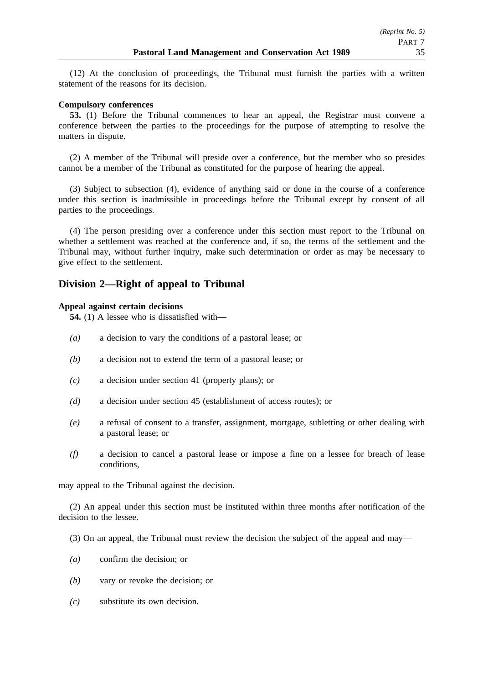(12) At the conclusion of proceedings, the Tribunal must furnish the parties with a written statement of the reasons for its decision.

### **Compulsory conferences**

**53.** (1) Before the Tribunal commences to hear an appeal, the Registrar must convene a conference between the parties to the proceedings for the purpose of attempting to resolve the matters in dispute.

(2) A member of the Tribunal will preside over a conference, but the member who so presides cannot be a member of the Tribunal as constituted for the purpose of hearing the appeal.

(3) Subject to subsection (4), evidence of anything said or done in the course of a conference under this section is inadmissible in proceedings before the Tribunal except by consent of all parties to the proceedings.

(4) The person presiding over a conference under this section must report to the Tribunal on whether a settlement was reached at the conference and, if so, the terms of the settlement and the Tribunal may, without further inquiry, make such determination or order as may be necessary to give effect to the settlement.

## **Division 2—Right of appeal to Tribunal**

### **Appeal against certain decisions**

**54.** (1) A lessee who is dissatisfied with—

- *(a)* a decision to vary the conditions of a pastoral lease; or
- *(b)* a decision not to extend the term of a pastoral lease; or
- *(c)* a decision under section 41 (property plans); or
- *(d)* a decision under section 45 (establishment of access routes); or
- *(e)* a refusal of consent to a transfer, assignment, mortgage, subletting or other dealing with a pastoral lease; or
- *(f)* a decision to cancel a pastoral lease or impose a fine on a lessee for breach of lease conditions,

may appeal to the Tribunal against the decision.

(2) An appeal under this section must be instituted within three months after notification of the decision to the lessee.

- (3) On an appeal, the Tribunal must review the decision the subject of the appeal and may—
- *(a)* confirm the decision; or
- *(b)* vary or revoke the decision; or
- *(c)* substitute its own decision.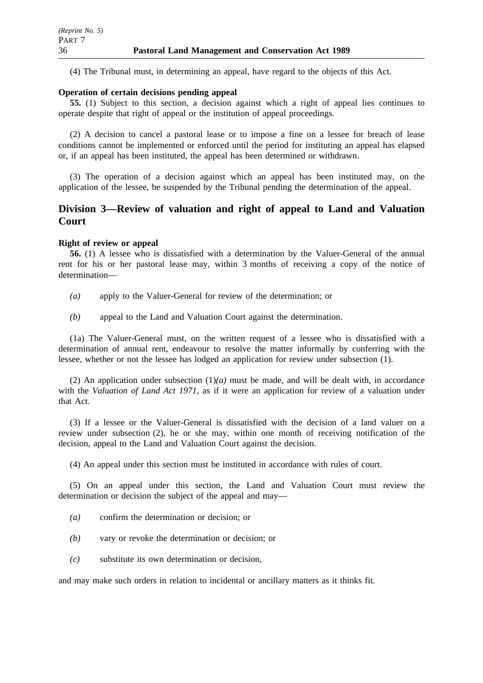(4) The Tribunal must, in determining an appeal, have regard to the objects of this Act.

## **Operation of certain decisions pending appeal**

**55.** (1) Subject to this section, a decision against which a right of appeal lies continues to operate despite that right of appeal or the institution of appeal proceedings.

(2) A decision to cancel a pastoral lease or to impose a fine on a lessee for breach of lease conditions cannot be implemented or enforced until the period for instituting an appeal has elapsed or, if an appeal has been instituted, the appeal has been determined or withdrawn.

(3) The operation of a decision against which an appeal has been instituted may, on the application of the lessee, be suspended by the Tribunal pending the determination of the appeal.

## **Division 3—Review of valuation and right of appeal to Land and Valuation Court**

### **Right of review or appeal**

**56.** (1) A lessee who is dissatisfied with a determination by the Valuer-General of the annual rent for his or her pastoral lease may, within 3 months of receiving a copy of the notice of determination—

*(a)* apply to the Valuer-General for review of the determination; or

*(b)* appeal to the Land and Valuation Court against the determination.

(1a) The Valuer-General must, on the written request of a lessee who is dissatisfied with a determination of annual rent, endeavour to resolve the matter informally by conferring with the lessee, whether or not the lessee has lodged an application for review under subsection (1).

(2) An application under subsection  $(1)(a)$  must be made, and will be dealt with, in accordance with the *Valuation of Land Act 1971*, as if it were an application for review of a valuation under that Act.

(3) If a lessee or the Valuer-General is dissatisfied with the decision of a land valuer on a review under subsection (2), he or she may, within one month of receiving notification of the decision, appeal to the Land and Valuation Court against the decision.

(4) An appeal under this section must be instituted in accordance with rules of court.

(5) On an appeal under this section, the Land and Valuation Court must review the determination or decision the subject of the appeal and may—

- *(a)* confirm the determination or decision; or
- *(b)* vary or revoke the determination or decision; or
- *(c)* substitute its own determination or decision,

and may make such orders in relation to incidental or ancillary matters as it thinks fit.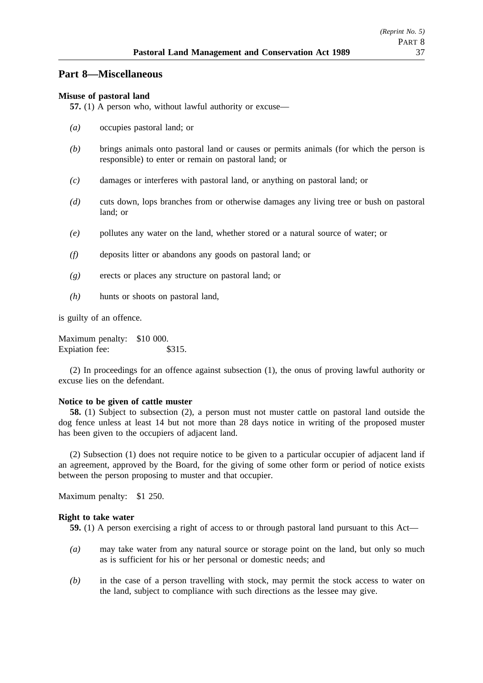## **Part 8—Miscellaneous**

### **Misuse of pastoral land**

**57.** (1) A person who, without lawful authority or excuse—

- *(a)* occupies pastoral land; or
- *(b)* brings animals onto pastoral land or causes or permits animals (for which the person is responsible) to enter or remain on pastoral land; or
- *(c)* damages or interferes with pastoral land, or anything on pastoral land; or
- *(d)* cuts down, lops branches from or otherwise damages any living tree or bush on pastoral land; or
- *(e)* pollutes any water on the land, whether stored or a natural source of water; or
- *(f)* deposits litter or abandons any goods on pastoral land; or
- *(g)* erects or places any structure on pastoral land; or
- *(h)* hunts or shoots on pastoral land,

is guilty of an offence.

Maximum penalty: \$10 000. Expiation fee: \$315.

(2) In proceedings for an offence against subsection (1), the onus of proving lawful authority or excuse lies on the defendant.

#### **Notice to be given of cattle muster**

**58.** (1) Subject to subsection (2), a person must not muster cattle on pastoral land outside the dog fence unless at least 14 but not more than 28 days notice in writing of the proposed muster has been given to the occupiers of adjacent land.

(2) Subsection (1) does not require notice to be given to a particular occupier of adjacent land if an agreement, approved by the Board, for the giving of some other form or period of notice exists between the person proposing to muster and that occupier.

Maximum penalty: \$1 250.

### **Right to take water**

**59.** (1) A person exercising a right of access to or through pastoral land pursuant to this Act—

- *(a)* may take water from any natural source or storage point on the land, but only so much as is sufficient for his or her personal or domestic needs; and
- *(b)* in the case of a person travelling with stock, may permit the stock access to water on the land, subject to compliance with such directions as the lessee may give.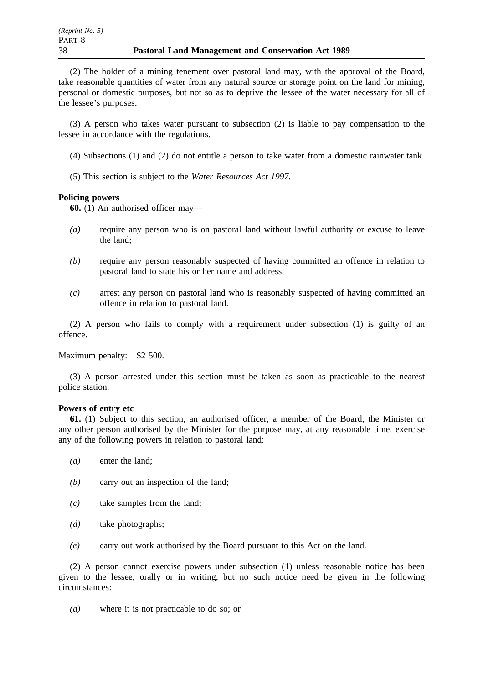(2) The holder of a mining tenement over pastoral land may, with the approval of the Board, take reasonable quantities of water from any natural source or storage point on the land for mining, personal or domestic purposes, but not so as to deprive the lessee of the water necessary for all of the lessee's purposes.

(3) A person who takes water pursuant to subsection (2) is liable to pay compensation to the lessee in accordance with the regulations.

- (4) Subsections (1) and (2) do not entitle a person to take water from a domestic rainwater tank.
- (5) This section is subject to the *Water Resources Act 1997*.

### **Policing powers**

**60.** (1) An authorised officer may—

- *(a)* require any person who is on pastoral land without lawful authority or excuse to leave the land;
- *(b)* require any person reasonably suspected of having committed an offence in relation to pastoral land to state his or her name and address;
- *(c)* arrest any person on pastoral land who is reasonably suspected of having committed an offence in relation to pastoral land.

(2) A person who fails to comply with a requirement under subsection (1) is guilty of an offence.

Maximum penalty: \$2 500.

(3) A person arrested under this section must be taken as soon as practicable to the nearest police station.

### **Powers of entry etc**

**61.** (1) Subject to this section, an authorised officer, a member of the Board, the Minister or any other person authorised by the Minister for the purpose may, at any reasonable time, exercise any of the following powers in relation to pastoral land:

- *(a)* enter the land;
- *(b)* carry out an inspection of the land;
- *(c)* take samples from the land;
- *(d)* take photographs;
- *(e)* carry out work authorised by the Board pursuant to this Act on the land.

(2) A person cannot exercise powers under subsection (1) unless reasonable notice has been given to the lessee, orally or in writing, but no such notice need be given in the following circumstances:

*(a)* where it is not practicable to do so; or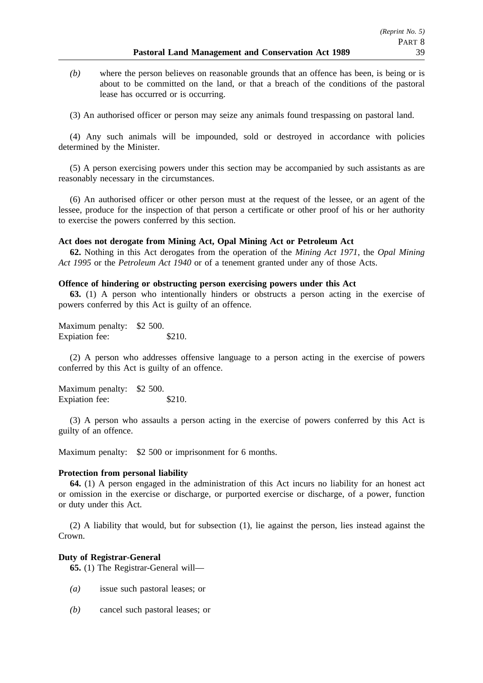*(b)* where the person believes on reasonable grounds that an offence has been, is being or is about to be committed on the land, or that a breach of the conditions of the pastoral lease has occurred or is occurring.

(3) An authorised officer or person may seize any animals found trespassing on pastoral land.

(4) Any such animals will be impounded, sold or destroyed in accordance with policies determined by the Minister.

(5) A person exercising powers under this section may be accompanied by such assistants as are reasonably necessary in the circumstances.

(6) An authorised officer or other person must at the request of the lessee, or an agent of the lessee, produce for the inspection of that person a certificate or other proof of his or her authority to exercise the powers conferred by this section.

### **Act does not derogate from Mining Act, Opal Mining Act or Petroleum Act**

**62.** Nothing in this Act derogates from the operation of the *Mining Act 1971*, the *Opal Mining Act 1995* or the *Petroleum Act 1940* or of a tenement granted under any of those Acts.

#### **Offence of hindering or obstructing person exercising powers under this Act**

**63.** (1) A person who intentionally hinders or obstructs a person acting in the exercise of powers conferred by this Act is guilty of an offence.

Maximum penalty: \$2 500. Expiation fee: \$210.

(2) A person who addresses offensive language to a person acting in the exercise of powers conferred by this Act is guilty of an offence.

Maximum penalty: \$2 500. Expiation fee: \$210.

(3) A person who assaults a person acting in the exercise of powers conferred by this Act is guilty of an offence.

Maximum penalty: \$2 500 or imprisonment for 6 months.

### **Protection from personal liability**

**64.** (1) A person engaged in the administration of this Act incurs no liability for an honest act or omission in the exercise or discharge, or purported exercise or discharge, of a power, function or duty under this Act.

(2) A liability that would, but for subsection (1), lie against the person, lies instead against the Crown.

#### **Duty of Registrar-General**

**65.** (1) The Registrar-General will—

- *(a)* issue such pastoral leases; or
- *(b)* cancel such pastoral leases; or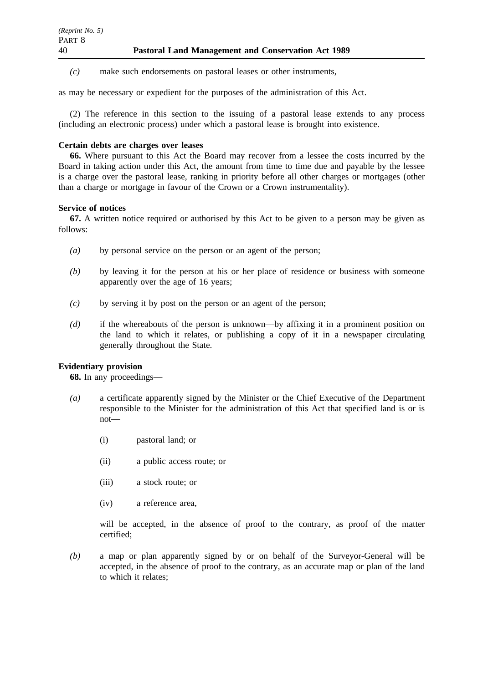*(c)* make such endorsements on pastoral leases or other instruments,

as may be necessary or expedient for the purposes of the administration of this Act.

(2) The reference in this section to the issuing of a pastoral lease extends to any process (including an electronic process) under which a pastoral lease is brought into existence.

### **Certain debts are charges over leases**

**66.** Where pursuant to this Act the Board may recover from a lessee the costs incurred by the Board in taking action under this Act, the amount from time to time due and payable by the lessee is a charge over the pastoral lease, ranking in priority before all other charges or mortgages (other than a charge or mortgage in favour of the Crown or a Crown instrumentality).

### **Service of notices**

**67.** A written notice required or authorised by this Act to be given to a person may be given as follows:

- *(a)* by personal service on the person or an agent of the person;
- *(b)* by leaving it for the person at his or her place of residence or business with someone apparently over the age of 16 years;
- *(c)* by serving it by post on the person or an agent of the person;
- *(d)* if the whereabouts of the person is unknown—by affixing it in a prominent position on the land to which it relates, or publishing a copy of it in a newspaper circulating generally throughout the State.

## **Evidentiary provision**

**68.** In any proceedings—

- *(a)* a certificate apparently signed by the Minister or the Chief Executive of the Department responsible to the Minister for the administration of this Act that specified land is or is not—
	- (i) pastoral land; or
	- (ii) a public access route; or
	- (iii) a stock route; or
	- (iv) a reference area,

will be accepted, in the absence of proof to the contrary, as proof of the matter certified;

*(b)* a map or plan apparently signed by or on behalf of the Surveyor-General will be accepted, in the absence of proof to the contrary, as an accurate map or plan of the land to which it relates;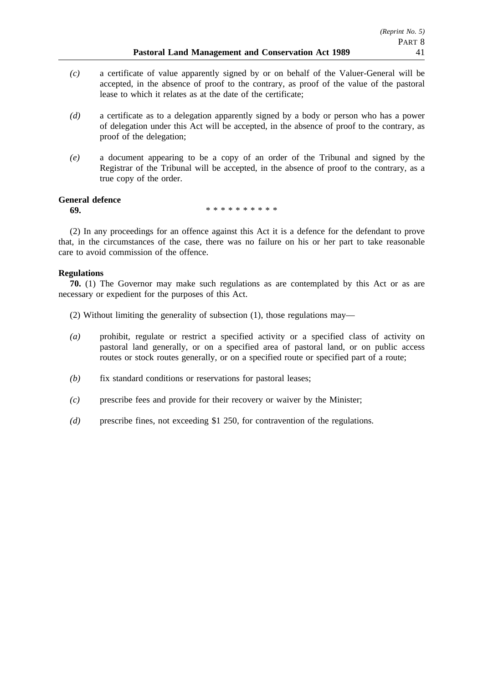- *(c)* a certificate of value apparently signed by or on behalf of the Valuer-General will be accepted, in the absence of proof to the contrary, as proof of the value of the pastoral lease to which it relates as at the date of the certificate;
- *(d)* a certificate as to a delegation apparently signed by a body or person who has a power of delegation under this Act will be accepted, in the absence of proof to the contrary, as proof of the delegation;
- *(e)* a document appearing to be a copy of an order of the Tribunal and signed by the Registrar of the Tribunal will be accepted, in the absence of proof to the contrary, as a true copy of the order.

### **General defence**

**69.** \*\*\*\*\*\*\*\*\*\*\*

(2) In any proceedings for an offence against this Act it is a defence for the defendant to prove that, in the circumstances of the case, there was no failure on his or her part to take reasonable care to avoid commission of the offence.

### **Regulations**

**70.** (1) The Governor may make such regulations as are contemplated by this Act or as are necessary or expedient for the purposes of this Act.

- (2) Without limiting the generality of subsection (1), those regulations may—
- *(a)* prohibit, regulate or restrict a specified activity or a specified class of activity on pastoral land generally, or on a specified area of pastoral land, or on public access routes or stock routes generally, or on a specified route or specified part of a route;
- *(b)* fix standard conditions or reservations for pastoral leases;
- *(c)* prescribe fees and provide for their recovery or waiver by the Minister;
- *(d)* prescribe fines, not exceeding \$1 250, for contravention of the regulations.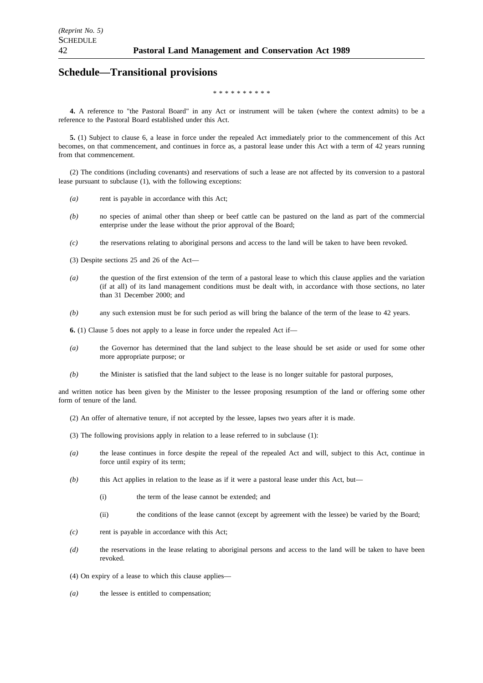## **Schedule—Transitional provisions**

#### \*\*\*\*\*\*\*\*

**4.** A reference to "the Pastoral Board" in any Act or instrument will be taken (where the context admits) to be a reference to the Pastoral Board established under this Act.

**5.** (1) Subject to clause 6, a lease in force under the repealed Act immediately prior to the commencement of this Act becomes, on that commencement, and continues in force as, a pastoral lease under this Act with a term of 42 years running from that commencement.

(2) The conditions (including covenants) and reservations of such a lease are not affected by its conversion to a pastoral lease pursuant to subclause (1), with the following exceptions:

- *(a)* rent is payable in accordance with this Act;
- *(b)* no species of animal other than sheep or beef cattle can be pastured on the land as part of the commercial enterprise under the lease without the prior approval of the Board;
- *(c)* the reservations relating to aboriginal persons and access to the land will be taken to have been revoked.
- (3) Despite sections 25 and 26 of the Act—
- *(a)* the question of the first extension of the term of a pastoral lease to which this clause applies and the variation (if at all) of its land management conditions must be dealt with, in accordance with those sections, no later than 31 December 2000; and
- *(b)* any such extension must be for such period as will bring the balance of the term of the lease to 42 years.

**6.** (1) Clause 5 does not apply to a lease in force under the repealed Act if—

- *(a)* the Governor has determined that the land subject to the lease should be set aside or used for some other more appropriate purpose; or
- *(b)* the Minister is satisfied that the land subject to the lease is no longer suitable for pastoral purposes,

and written notice has been given by the Minister to the lessee proposing resumption of the land or offering some other form of tenure of the land.

- (2) An offer of alternative tenure, if not accepted by the lessee, lapses two years after it is made.
- (3) The following provisions apply in relation to a lease referred to in subclause (1):
- *(a)* the lease continues in force despite the repeal of the repealed Act and will, subject to this Act, continue in force until expiry of its term;
- *(b)* this Act applies in relation to the lease as if it were a pastoral lease under this Act, but—
	- (i) the term of the lease cannot be extended; and
	- (ii) the conditions of the lease cannot (except by agreement with the lessee) be varied by the Board;
- *(c)* rent is payable in accordance with this Act;
- *(d)* the reservations in the lease relating to aboriginal persons and access to the land will be taken to have been revoked.
- (4) On expiry of a lease to which this clause applies—
- *(a)* the lessee is entitled to compensation;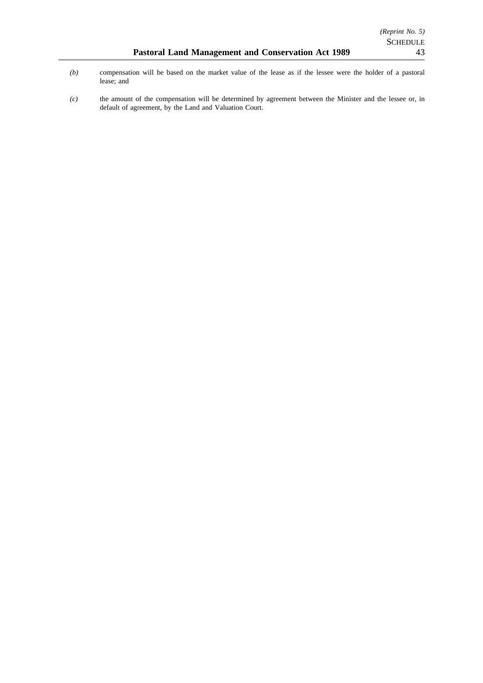*(c)* the amount of the compensation will be determined by agreement between the Minister and the lessee or, in default of agreement, by the Land and Valuation Court.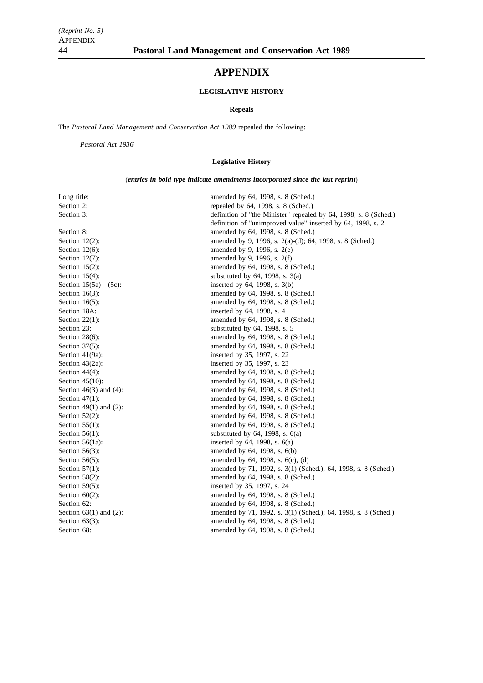# **APPENDIX**

### **LEGISLATIVE HISTORY**

#### **Repeals**

The *Pastoral Land Management and Conservation Act 1989* repealed the following:

*Pastoral Act 1936*

### **Legislative History**

(*entries in bold type indicate amendments incorporated since the last reprint*)

| Long title:                  | amended by 64, 1998, s. 8 (Sched.)                               |
|------------------------------|------------------------------------------------------------------|
| Section 2:                   | repealed by 64, 1998, s. 8 (Sched.)                              |
| Section 3:                   | definition of "the Minister" repealed by 64, 1998, s. 8 (Sched.) |
|                              | definition of "unimproved value" inserted by 64, 1998, s. 2      |
| Section 8:                   | amended by 64, 1998, s. 8 (Sched.)                               |
| Section $12(2)$ :            | amended by 9, 1996, s. 2(a)-(d); 64, 1998, s. 8 (Sched.)         |
| Section $12(6)$ :            | amended by 9, 1996, s. 2(e)                                      |
| Section $12(7)$ :            | amended by 9, 1996, s. 2(f)                                      |
| Section $15(2)$ :            | amended by 64, 1998, s. 8 (Sched.)                               |
| Section $15(4)$ :            | substituted by $64$ , 1998, s. $3(a)$                            |
| Section $15(5a) - (5c)$ :    | inserted by $64$ , 1998, s. $3(b)$                               |
| Section $16(3)$ :            | amended by 64, 1998, s. 8 (Sched.)                               |
| Section $16(5)$ :            | amended by 64, 1998, s. 8 (Sched.)                               |
| Section 18A:                 | inserted by 64, 1998, s. 4                                       |
| Section $22(1)$ :            | amended by 64, 1998, s. 8 (Sched.)                               |
| Section 23:                  | substituted by $64$ , 1998, s. 5                                 |
| Section $28(6)$ :            | amended by 64, 1998, s. 8 (Sched.)                               |
| Section $37(5)$ :            | amended by 64, 1998, s. 8 (Sched.)                               |
| Section $41(9a)$ :           | inserted by 35, 1997, s. 22                                      |
| Section $43(2a)$ :           | inserted by 35, 1997, s. 23                                      |
| Section $44(4)$ :            | amended by 64, 1998, s. 8 (Sched.)                               |
| Section $45(10)$ :           | amended by 64, 1998, s. 8 (Sched.)                               |
| Section $46(3)$ and $(4)$ :  | amended by 64, 1998, s. 8 (Sched.)                               |
| Section $47(1)$ :            | amended by 64, 1998, s. 8 (Sched.)                               |
| Section 49 $(1)$ and $(2)$ : | amended by 64, 1998, s. 8 (Sched.)                               |
| Section $52(2)$ :            | amended by 64, 1998, s. 8 (Sched.)                               |
| Section $55(1)$ :            | amended by 64, 1998, s. 8 (Sched.)                               |
| Section $56(1)$ :            | substituted by $64$ , 1998, s. $6(a)$                            |
| Section $56(1a)$ :           | inserted by $64$ , 1998, s. $6(a)$                               |
| Section $56(3)$ :            | amended by 64, 1998, s. 6(b)                                     |
| Section $56(5)$ :            | amended by $64$ , 1998, s. $6(c)$ , $(d)$                        |
| Section $57(1)$ :            | amended by 71, 1992, s. 3(1) (Sched.); 64, 1998, s. 8 (Sched.)   |
| Section $58(2)$ :            | amended by 64, 1998, s. 8 (Sched.)                               |
| Section $59(5)$ :            | inserted by 35, 1997, s. 24                                      |
| Section $60(2)$ :            | amended by 64, 1998, s. 8 (Sched.)                               |
| Section 62:                  | amended by 64, 1998, s. 8 (Sched.)                               |
| Section $63(1)$ and $(2)$ :  | amended by 71, 1992, s. 3(1) (Sched.); 64, 1998, s. 8 (Sched.)   |
| Section $63(3)$ :            | amended by 64, 1998, s. 8 (Sched.)                               |
| Section 68:                  | amended by 64, 1998, s. 8 (Sched.)                               |